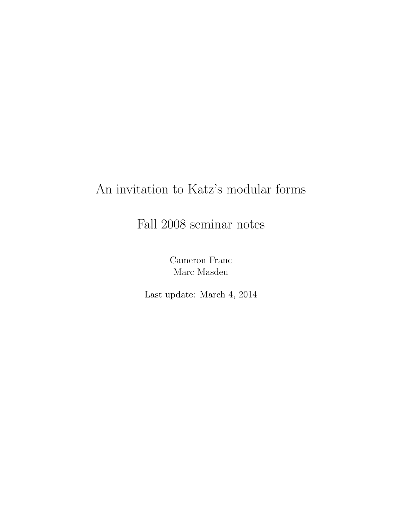# An invitation to Katz's modular forms

Fall 2008 seminar notes

Cameron Franc Marc Masdeu

Last update: March 4, 2014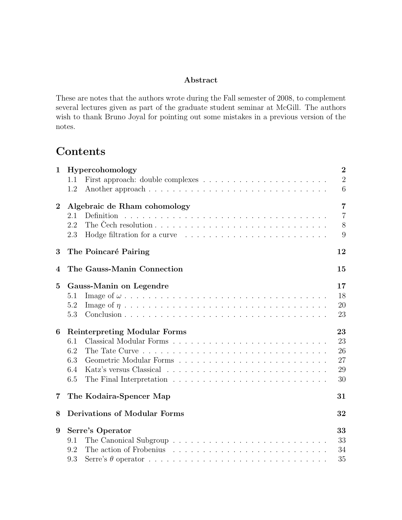### Abstract

These are notes that the authors wrote during the Fall semester of 2008, to complement several lectures given as part of the graduate student seminar at McGill. The authors wish to thank Bruno Joyal for pointing out some mistakes in a previous version of the notes.

# Contents

| $\mathbf 1$      | Hypercohomology                                                                                                                                                                                                                       | $\overline{2}$ |
|------------------|---------------------------------------------------------------------------------------------------------------------------------------------------------------------------------------------------------------------------------------|----------------|
|                  | First approach: double complexes $\ldots \ldots \ldots \ldots \ldots \ldots \ldots \ldots$<br>1.1                                                                                                                                     | $\overline{2}$ |
|                  | 1.2                                                                                                                                                                                                                                   | 6              |
|                  |                                                                                                                                                                                                                                       |                |
| $\boldsymbol{2}$ | Algebraic de Rham cohomology                                                                                                                                                                                                          | $\overline{7}$ |
|                  | 2.1                                                                                                                                                                                                                                   | $\overline{7}$ |
|                  | The Čech resolution $\ldots \ldots \ldots \ldots \ldots \ldots \ldots \ldots \ldots \ldots$<br>2.2                                                                                                                                    | 8              |
|                  | 2.3<br>Hodge filtration for a curve contained and solution of the set of the set of the set of the set of the set of the set of the set of the set of the set of the set of the set of the set of the set of the set of the set of th | 9              |
| 3                | The Poincaré Pairing                                                                                                                                                                                                                  | 12             |
| 4                | The Gauss-Manin Connection                                                                                                                                                                                                            | 15             |
| $\bf{5}$         | Gauss-Manin on Legendre                                                                                                                                                                                                               | 17             |
|                  | 5.1                                                                                                                                                                                                                                   | 18             |
|                  | 5.2                                                                                                                                                                                                                                   | 20             |
|                  | 5.3                                                                                                                                                                                                                                   | 23             |
| 6                | <b>Reinterpreting Modular Forms</b>                                                                                                                                                                                                   | 23             |
|                  | 6.1                                                                                                                                                                                                                                   | 23             |
|                  | 6.2                                                                                                                                                                                                                                   | 26             |
|                  | Geometric Modular Forms<br>6.3                                                                                                                                                                                                        | 27             |
|                  | 6.4                                                                                                                                                                                                                                   | 29             |
|                  | 6.5                                                                                                                                                                                                                                   | 30             |
|                  |                                                                                                                                                                                                                                       |                |
| 7                | The Kodaira-Spencer Map                                                                                                                                                                                                               | 31             |
| 8                | <b>Derivations of Modular Forms</b>                                                                                                                                                                                                   | 32             |
| 9                | Serre's Operator                                                                                                                                                                                                                      | 33             |
|                  | 9.1                                                                                                                                                                                                                                   | 33             |
|                  | 9.2                                                                                                                                                                                                                                   | 34             |
|                  | 9.3                                                                                                                                                                                                                                   | 35             |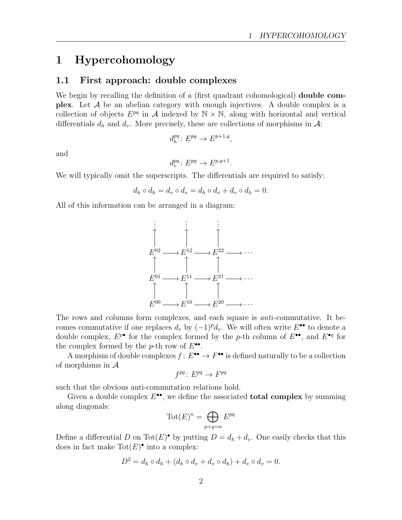# 1 Hypercohomology

### 1.1 First approach: double complexes

We begin by recalling the definition of a (first quadrant cohomological) **double complex**. Let  $A$  be an abelian category with enough injectives. A double complex is a collection of objects  $E^{pq}$  in A indexed by  $\mathbb{N} \times \mathbb{N}$ , along with horizontal and vertical differentials  $d_h$  and  $d_v$ . More precisely, these are collections of morphisms in A:

$$
d_h^{pq} \colon E^{pq} \to E^{p+1,q},
$$

and

$$
d_v^{pq} \colon E^{pq} \to E^{p,q+1}.
$$

We will typically omit the superscripts. The differentials are required to satisfy:

$$
d_h \circ d_h = d_v \circ d_v = d_h \circ d_v + d_v \circ d_h = 0.
$$

All of this information can be arranged in a diagram:



The rows and columns form complexes, and each square is anti-commutative. It becomes commutative if one replaces  $d_v$  by  $(-1)^{p}d_v$ . We will often write  $E^{\bullet\bullet}$  to denote a double complex,  $E^{p\bullet}$  for the complex formed by the p-th column of  $E^{\bullet\bullet}$ , and  $E^{\bullet q}$  for the complex formed by the *p*-th row of  $E^{\bullet \bullet}$ .

A morphism of double complexes  $f: E^{\bullet \bullet} \to F^{\bullet \bullet}$  is defined naturally to be a collection of morphisms in  $A$ 

$$
f^{pq} \colon E^{pq} \to F^{pq}
$$

such that the obvious anti-commutation relations hold.

Given a double complex  $E^{\bullet\bullet}$ , we define the associated **total complex** by summing along diagonals:

$$
\operatorname{Tot}(E)^n = \bigoplus_{p+q=n} E^{pq}
$$

Define a differential D on Tot $(E)$ <sup>o</sup> by putting  $D = d_h + d_v$ . One easily checks that this does in fact make  $Tot(E)^{\bullet}$  into a complex:

$$
D2 = dh \circ dh + (dh \circ dv + dv \circ dh) + dv \circ dv = 0.
$$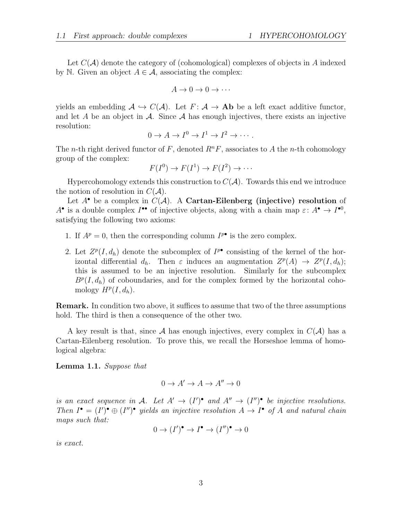Let  $C(\mathcal{A})$  denote the category of (cohomological) complexes of objects in A indexed by N. Given an object  $A \in \mathcal{A}$ , associating the complex:

$$
A \to 0 \to 0 \to \cdots
$$

yields an embedding  $\mathcal{A} \hookrightarrow C(\mathcal{A})$ . Let  $F: \mathcal{A} \to \mathbf{Ab}$  be a left exact additive functor, and let A be an object in  $\mathcal A$ . Since  $\mathcal A$  has enough injectives, there exists an injective resolution:

$$
0 \to A \to I^0 \to I^1 \to I^2 \to \cdots.
$$

The n-th right derived functor of F, denoted  $R^nF$ , associates to A the n-th cohomology group of the complex:

$$
F(I^0) \to F(I^1) \to F(I^2) \to \cdots
$$

Hypercohomology extends this construction to  $C(\mathcal{A})$ . Towards this end we introduce the notion of resolution in  $C(\mathcal{A})$ .

Let  $A^{\bullet}$  be a complex in  $C(A)$ . A Cartan-Eilenberg (injective) resolution of  $A^{\bullet}$  is a double complex  $I^{\bullet \bullet}$  of injective objects, along with a chain map  $\varepsilon: A^{\bullet} \to I^{\bullet 0}$ , satisfying the following two axioms:

- 1. If  $A^p = 0$ , then the corresponding column  $I^{p\bullet}$  is the zero complex.
- 2. Let  $Z^p(I, d_h)$  denote the subcomplex of  $I^{p\bullet}$  consisting of the kernel of the horizontal differential  $d_h$ . Then  $\varepsilon$  induces an augmentation  $Z^p(A) \to Z^p(I, d_h);$ this is assumed to be an injective resolution. Similarly for the subcomplex  $B<sup>p</sup>(I, d<sub>h</sub>)$  of coboundaries, and for the complex formed by the horizontal cohomology  $H^p(I, d_h)$ .

Remark. In condition two above, it suffices to assume that two of the three assumptions hold. The third is then a consequence of the other two.

A key result is that, since A has enough injectives, every complex in  $C(\mathcal{A})$  has a Cartan-Eilenberg resolution. To prove this, we recall the Horseshoe lemma of homological algebra:

Lemma 1.1. Suppose that

$$
0 \to A' \to A \to A'' \to 0
$$

is an exact sequence in A. Let  $A' \to (I')^{\bullet}$  and  $A'' \to (I'')^{\bullet}$  be injective resolutions. Then  $I^{\bullet} = (I')^{\bullet} \oplus (I'')^{\bullet}$  yields an injective resolution  $A \to I^{\bullet}$  of A and natural chain maps such that:

$$
0 \to (I')^{\bullet} \to I^{\bullet} \to (I'')^{\bullet} \to 0
$$

is exact.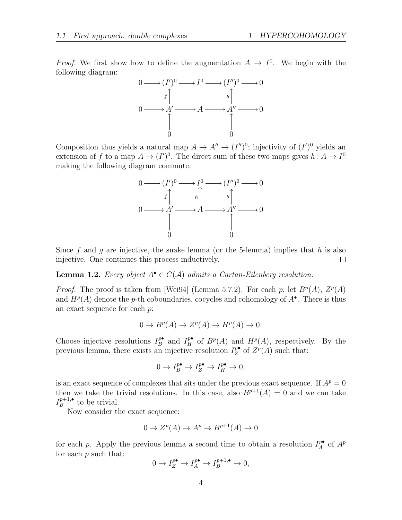*Proof.* We first show how to define the augmentation  $A \to I^0$ . We begin with the following diagram:



Composition thus yields a natural map  $A \to A'' \to (I'')^0$ ; injectivity of  $(I')^0$  yields an extension of f to a map  $A \to (I')^0$ . The direct sum of these two maps gives  $h: A \to I^0$ making the following diagram commute:



Since f and g are injective, the snake lemma (or the 5-lemma) implies that h is also injective. One continues this process inductively.  $\Box$ 

**Lemma 1.2.** Every object  $A^{\bullet} \in C(A)$  admits a Cartan-Eilenberg resolution.

*Proof.* The proof is taken from [Wei94] (Lemma 5.7.2). For each p, let  $B^p(A)$ ,  $Z^p(A)$ and  $H^p(A)$  denote the p-th coboundaries, cocycles and cohomology of  $A^{\bullet}$ . There is thus an exact sequence for each p:

$$
0 \to B^p(A) \to Z^p(A) \to H^p(A) \to 0.
$$

Choose injective resolutions  $I_R^{p\bullet}$  $P_B^{\bullet}$  and  $I_H^{p\bullet}$  of  $B^p(A)$  and  $H^p(A)$ , respectively. By the previous lemma, there exists an injective resolution  $I_Z^{\mathbf{p}\bullet}$  $Z^p$  of  $Z^p(A)$  such that:

$$
0 \to I_B^{\mathbf{p}\bullet} \to I_Z^{\mathbf{p}\bullet} \to I_H^{\mathbf{p}\bullet} \to 0,
$$

is an exact sequence of complexes that sits under the previous exact sequence. If  $A^p = 0$ then we take the trivial resolutions. In this case, also  $B^{p+1}(A) = 0$  and we can take  $I_R^{p+1,\bullet}$  $B^{p+1,\bullet}$  to be trivial.

Now consider the exact sequence:

$$
0 \to Z^p(A) \to A^p \to B^{p+1}(A) \to 0
$$

for each p. Apply the previous lemma a second time to obtain a resolution  $I_A^{p\bullet}$  $A^p$  of  $A^p$ for each  $p$  such that:

$$
0 \to I_Z^{p\bullet} \to I_A^{p\bullet} \to I_B^{p+1,\bullet} \to 0,
$$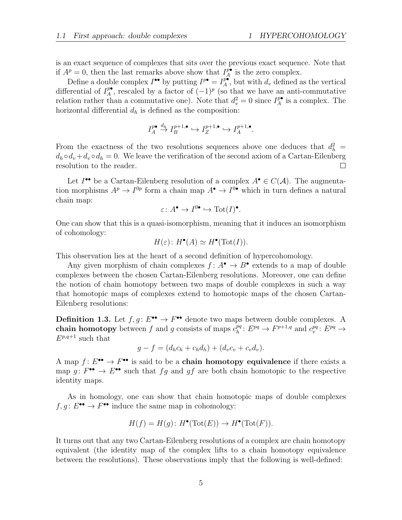is an exact sequence of complexes that sits over the previous exact sequence. Note that if  $A^p = 0$ , then the last remarks above show that  $I^{\mathbf{p}\bullet}_A$  $_{A}^{p\bullet}$  is the zero complex.

Define a double complex  $I^{\bullet\bullet}$  by putting  $I^{p\bullet} = I^{\overline{p\bullet}}_A$  $\frac{p^{\bullet}}{A}$ , but with  $d_v$  defined as the vertical differential of  $I_A^{p\bullet}$  $P_{A}^{\bullet}$ , rescaled by a factor of  $(-1)^{p}$  (so that we have an anti-commutative relation rather than a commutative one). Note that  $d_v^2 = 0$  since  $I_A^{p\bullet}$  $_A^{p\bullet}$  is a complex. The horizontal differential  $d_h$  is defined as the composition:

$$
I_A^{p\bullet} \stackrel{d_h}{\to} I_B^{p+1,\bullet} \hookrightarrow I_Z^{p+1,\bullet} \hookrightarrow I_A^{p+1,\bullet}.
$$

From the exactness of the two resolutions sequences above one deduces that  $d_h^2 =$  $d_h \circ d_v + d_v \circ d_h = 0$ . We leave the verification of the second axiom of a Cartan-Eilenberg resolution to the reader.  $\Box$ 

Let  $I^{\bullet\bullet}$  be a Cartan-Eilenberg resolution of a complex  $A^{\bullet} \in C(\mathcal{A})$ . The augmentation morphisms  $A^p \to I^{0p}$  form a chain map  $A^{\bullet} \to I^{0\bullet}$  which in turn defines a natural chain map:

$$
\varepsilon \colon A^{\bullet} \to I^{0\bullet} \hookrightarrow \mathrm{Tot}(I)^{\bullet}.
$$

One can show that this is a quasi-isomorphism, meaning that it induces an isomorphism of cohomology:

$$
H(\varepsilon): H^{\bullet}(A) \simeq H^{\bullet}(\text{Tot}(I)).
$$

This observation lies at the heart of a second definition of hypercohomology.

Any given morphism of chain complexes  $f: A^{\bullet} \to B^{\bullet}$  extends to a map of double complexes between the chosen Cartan-Eilenberg resolutions. Moreover, one can define the notion of chain homotopy between two maps of double complexes in such a way that homotopic maps of complexes extend to homotopic maps of the chosen Cartan-Eilenberg resolutions:

**Definition 1.3.** Let  $f, g: E^{\bullet \bullet} \to F^{\bullet \bullet}$  denote two maps between double complexes. A chain homotopy between f and g consists of maps  $c_h^{pq}$  $h^{pq}: E^{pq} \to F^{p+1,q}$  and  $c_v^{pq}: E^{pq} \to$  $E^{p,q+1}$  such that

$$
g - f = (d_h c_h + c_h d_h) + (d_v c_v + c_v d_v).
$$

A map  $f: E^{\bullet \bullet} \to F^{\bullet \bullet}$  is said to be a chain homotopy equivalence if there exists a map  $g: F^{\bullet \bullet} \to E^{\bullet \bullet}$  such that  $fg$  and  $gf$  are both chain homotopic to the respective identity maps.

As in homology, one can show that chain homotopic maps of double complexes  $f, g \colon E^{\bullet \bullet} \to F^{\bullet \bullet}$  induce the same map in cohomology:

$$
H(f) = H(g) \colon H^{\bullet}(\text{Tot}(E)) \to H^{\bullet}(\text{Tot}(F)).
$$

It turns out that any two Cartan-Eilenberg resolutions of a complex are chain homotopy equivalent (the identity map of the complex lifts to a chain homotopy equivalence between the resolutions). These observations imply that the following is well-defined: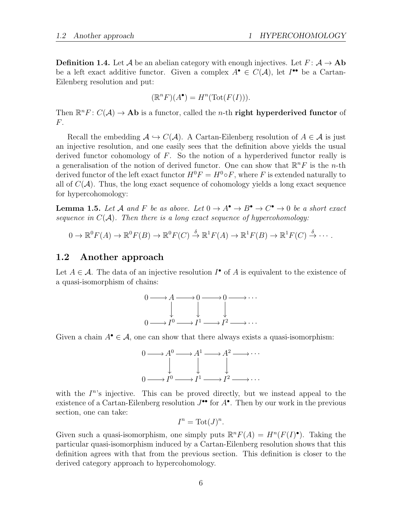**Definition 1.4.** Let A be an abelian category with enough injectives. Let  $F: A \rightarrow Ab$ be a left exact additive functor. Given a complex  $A^{\bullet} \in C(A)$ , let  $I^{\bullet}$  be a Cartan-Eilenberg resolution and put:

$$
(\mathbb{R}^n F)(A^{\bullet}) = H^n(\text{Tot}(F(I))).
$$

Then  $\mathbb{R}^n F : C(\mathcal{A}) \to \mathbf{Ab}$  is a functor, called the *n*-th **right hyperderived functor** of F.

Recall the embedding  $A \hookrightarrow C(A)$ . A Cartan-Eilenberg resolution of  $A \in \mathcal{A}$  is just an injective resolution, and one easily sees that the definition above yields the usual derived functor cohomology of  $F$ . So the notion of a hyperderived functor really is a generalisation of the notion of derived functor. One can show that  $\mathbb{R}^n F$  is the *n*-th derived functor of the left exact functor  $H^0F = H^0 \circ F$ , where F is extended naturally to all of  $C(\mathcal{A})$ . Thus, the long exact sequence of cohomology yields a long exact sequence for hypercohomology:

**Lemma 1.5.** Let A and F be as above. Let  $0 \to A^{\bullet} \to B^{\bullet} \to C^{\bullet} \to 0$  be a short exact sequence in  $C(\mathcal{A})$ . Then there is a long exact sequence of hypercohomology:

$$
0 \to \mathbb{R}^0 F(A) \to \mathbb{R}^0 F(B) \to \mathbb{R}^0 F(C) \stackrel{\delta}{\to} \mathbb{R}^1 F(A) \to \mathbb{R}^1 F(B) \to \mathbb{R}^1 F(C) \stackrel{\delta}{\to} \cdots
$$

### 1.2 Another approach

Let  $A \in \mathcal{A}$ . The data of an injective resolution  $I^{\bullet}$  of A is equivalent to the existence of a quasi-isomorphism of chains:



Given a chain  $A^{\bullet} \in \mathcal{A}$ , one can show that there always exists a quasi-isomorphism:



with the  $I^{n}$ 's injective. This can be proved directly, but we instead appeal to the existence of a Cartan-Eilenberg resolution  $J^{\bullet\bullet}$  for  $A^{\bullet}$ . Then by our work in the previous section, one can take:

$$
I^n = \text{Tot}(J)^n.
$$

Given such a quasi-isomorphism, one simply puts  $\mathbb{R}^n F(A) = H^n(F(I)^{\bullet})$ . Taking the particular quasi-isomorphism induced by a Cartan-Eilenberg resolution shows that this definition agrees with that from the previous section. This definition is closer to the derived category approach to hypercohomology.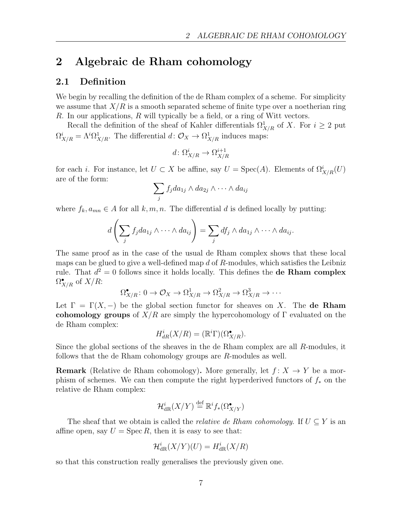# 2 Algebraic de Rham cohomology

### 2.1 Definition

We begin by recalling the definition of the de Rham complex of a scheme. For simplicity we assume that  $X/R$  is a smooth separated scheme of finite type over a noetherian ring R. In our applications, R will typically be a field, or a ring of Witt vectors.

Recall the definition of the sheaf of Kahler differentials  $\Omega^1_{X/R}$  of X. For  $i \geq 2$  put  $\Omega^i_{X/R} = \Lambda^i \Omega^1_{X/R}$ . The differential  $d: \mathcal{O}_X \to \Omega^1_{X/R}$  induces maps:

$$
d\colon \Omega^i_{X/R} \to \Omega^{i+1}_{X/R}
$$

for each *i*. For instance, let  $U \subset X$  be affine, say  $U = \text{Spec}(A)$ . Elements of  $\Omega^i_{X/R}(U)$ are of the form:

$$
\sum_j f_j da_{1j} \wedge da_{2j} \wedge \cdots \wedge da_{ij}
$$

where  $f_k, a_{mn} \in A$  for all  $k, m, n$ . The differential d is defined locally by putting:

$$
d\left(\sum_j f_j da_{1j} \wedge \cdots \wedge da_{ij}\right) = \sum_j df_j \wedge da_{1j} \wedge \cdots \wedge da_{ij}.
$$

The same proof as in the case of the usual de Rham complex shows that these local maps can be glued to give a well-defined map  $d$  of  $R$ -modules, which satisfies the Leibniz rule. That  $d^2 = 0$  follows since it holds locally. This defines the **de Rham complex**  $\Omega^\bullet_{X/R}$  of  $X/R$ :

$$
\Omega_{X/R}^{\bullet} \colon 0 \to \mathcal{O}_X \to \Omega_{X/R}^1 \to \Omega_{X/R}^2 \to \Omega_{X/R}^3 \to \cdots
$$

Let  $\Gamma = \Gamma(X, -)$  be the global section functor for sheaves on X. The **de Rham** cohomology groups of  $X/R$  are simply the hypercohomology of  $\Gamma$  evaluated on the de Rham complex:

$$
H_{dR}^i(X/R) = (\mathbb{R}^i \Gamma)(\Omega_{X/R}^{\bullet}).
$$

Since the global sections of the sheaves in the de Rham complex are all R-modules, it follows that the de Rham cohomology groups are R-modules as well.

**Remark** (Relative de Rham cohomology). More generally, let  $f: X \to Y$  be a morphism of schemes. We can then compute the right hyperderived functors of  $f_*$  on the relative de Rham complex:

$$
\mathcal{H}^{i}_{\operatorname{dR} }(X/Y)\stackrel{\operatorname{def}}{=} \mathbb{R}^{i}f_{*}(\Omega^{\bullet}_{X/Y})
$$

The sheaf that we obtain is called the *relative de Rham cohomology*. If  $U \subseteq Y$  is an affine open, say  $U = \text{Spec } R$ , then it is easy to see that:

$$
\mathcal{H}^i_{\mathrm{dR}}(X/Y)(U) = H^i_{\mathrm{dR}}(X/R)
$$

so that this construction really generalises the previously given one.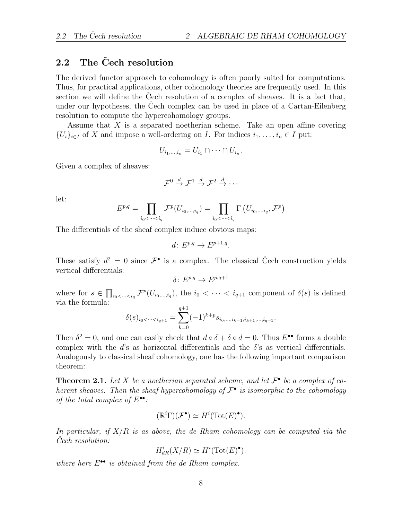# $2.2$  The Čech resolution

The derived functor approach to cohomology is often poorly suited for computations. Thus, for practical applications, other cohomology theories are frequently used. In this section we will define the Cech resolution of a complex of sheaves. It is a fact that, under our hypotheses, the Cech complex can be used in place of a Cartan-Eilenberg resolution to compute the hypercohomology groups.

Assume that  $X$  is a separated noetherian scheme. Take an open affine covering  $\{U_i\}_{i\in I}$  of X and impose a well-ordering on I. For indices  $i_1, \ldots, i_n \in I$  put:

$$
U_{i_1,\dots,i_n}=U_{i_1}\cap\cdots\cap U_{i_n}.
$$

Given a complex of sheaves:

$$
\mathcal{F}^0 \stackrel{d}{\rightarrow} \mathcal{F}^1 \stackrel{d}{\rightarrow} \mathcal{F}^2 \stackrel{d}{\rightarrow} \cdots
$$

let:

$$
E^{p,q} = \prod_{i_0 < \dots < i_q} \mathcal{F}^p(U_{i_0,\dots,i_q}) = \prod_{i_0 < \dots < i_q} \Gamma\left(U_{i_0,\dots,i_q},\mathcal{F}^p\right)
$$

The differentials of the sheaf complex induce obvious maps:

$$
d\colon E^{p,q}\to E^{p+1,q}.
$$

These satisfy  $d^2 = 0$  since  $\mathcal{F}^{\bullet}$  is a complex. The classical Čech construction yields vertical differentials:

$$
\delta\colon E^{p,q}\to E^{p,q+1}
$$

where for  $s \in \prod_{i_0 < \dots < i_q} \mathcal{F}^p(U_{i_0,\dots,i_q})$ , the  $i_0 < \dots < i_{q+1}$  component of  $\delta(s)$  is defined via the formula:

$$
\delta(s)_{i_0 < \dots < i_{q+1}} = \sum_{k=0}^{q+1} (-1)^{k+p} s_{i_0, \dots, i_{k-1}, i_{k+1}, \dots, i_{q+1}}.
$$

Then  $\delta^2 = 0$ , and one can easily check that  $d \circ \delta + \delta \circ d = 0$ . Thus  $E^{\bullet \bullet}$  forms a double complex with the d's as horizontal differentials and the  $\delta$ 's as vertical differentials. Analogously to classical sheaf cohomology, one has the following important comparison theorem:

**Theorem 2.1.** Let X be a noetherian separated scheme, and let  $\mathcal{F}^{\bullet}$  be a complex of coherent sheaves. Then the sheaf hypercohomology of  $\mathcal{F}^{\bullet}$  is isomorphic to the cohomology of the total complex of  $E^{\bullet \bullet}$ :

$$
(\mathbb{R}^i \Gamma)(\mathcal{F}^{\bullet}) \simeq H^i(\mathrm{Tot}(E)^{\bullet}).
$$

In particular, if  $X/R$  is as above, the de Rham cohomology can be computed via the Cech resolution:

$$
H^i_{dR}(X/R)\simeq H^i(\mathrm{Tot}(E)^\bullet).
$$

where here  $E^{\bullet \bullet}$  is obtained from the de Rham complex.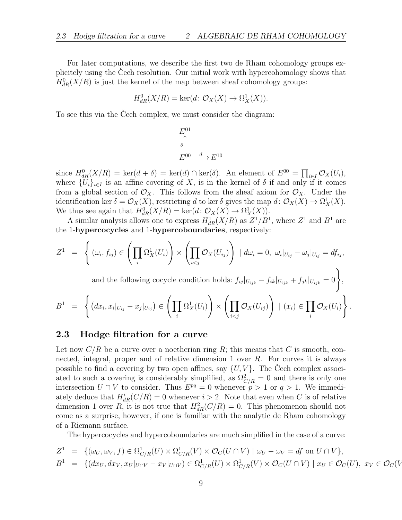For later computations, we describe the first two de Rham cohomology groups explicitely using the Cech resolution. Our initial work with hypercohomology shows that  $H_{dR}^{0}(X/R)$  is just the kernel of the map between sheaf cohomology groups:

$$
H_{dR}^{0}(X/R) = \ker(d: \mathcal{O}_{X}(X) \to \Omega_{X}^{1}(X)).
$$

To see this via the Cech complex, we must consider the diagram:

$$
E^{01}
$$
  
\n
$$
\uparrow
$$
  
\n
$$
E^{00} \xrightarrow{d} E^{10}
$$

since  $H_{dR}^{0}(X/R) = \text{ker}(d + \delta) = \text{ker}(d) \cap \text{ker}(\delta)$ . An element of  $E^{00} = \prod_{i \in I} \mathcal{O}_X(U_i)$ , where  $\{U_i\}_{i\in I}$  is an affine covering of X, is in the kernel of  $\delta$  if and only if it comes from a global section of  $\mathcal{O}_X$ . This follows from the sheaf axiom for  $\mathcal{O}_X$ . Under the identification ker  $\delta = \mathcal{O}_X(X)$ , restricting d to ker  $\delta$  gives the map  $d: \mathcal{O}_X(X) \to \Omega^1_X(X)$ . We thus see again that  $H_{dR}^{0}(X/R) = \text{ker}(d: \mathcal{O}_X(X) \to \Omega_X^1(X)).$ 

A similar analysis allows one to express  $H_{dR}^1(X/R)$  as  $Z^1/B^1$ , where  $Z^1$  and  $B^1$  are the 1-hypercocycles and 1-hypercoboundaries, respectively:

$$
Z^1 = \left\{ (\omega_i, f_{ij}) \in \left( \prod_i \Omega_X^1(U_i) \right) \times \left( \prod_{i < j} \mathcal{O}_X(U_{ij}) \right) \mid d\omega_i = 0, \ \omega_i |_{U_{ij}} - \omega_j |_{U_{ij}} = df_{ij}, \right\}
$$

and the following cocycle condition holds:  $f_{ij}|_{U_{ijk}} - f_{ik}|_{U_{ijk}} + f_{jk}|_{U_{ijk}} = 0$ ,

.

$$
B^{1} = \left\{ (dx_{i}, x_{i}|_{U_{ij}} - x_{j}|_{U_{ij}}) \in \left( \prod_{i} \Omega_{X}^{1}(U_{i}) \right) \times \left( \prod_{i < j} \mathcal{O}_{X}(U_{ij}) \right) \mid (x_{i}) \in \prod_{i} \mathcal{O}_{X}(U_{i}) \right\}
$$

#### 2.3 Hodge filtration for a curve

Let now  $C/R$  be a curve over a noetherian ring R; this means that C is smooth, connected, integral, proper and of relative dimension 1 over R. For curves it is always possible to find a covering by two open affines, say  $\{U, V\}$ . The Cech complex associated to such a covering is considerably simplified, as  $\Omega_{C/R}^2 = 0$  and there is only one intersection  $U \cap V$  to consider. Thus  $E^{pq} = 0$  whenever  $p > 1$  or  $q > 1$ . We immediately deduce that  $H_{dR}^i(C/R) = 0$  whenever  $i > 2$ . Note that even when C is of relative dimension 1 over R, it is not true that  $H_{dR}^2(C/R) = 0$ . This phenomenon should not come as a surprise, however, if one is familiar with the analytic de Rham cohomology of a Riemann surface.

The hypercocycles and hypercoboundaries are much simplified in the case of a curve:

$$
Z^1 = \{(\omega_U, \omega_V, f) \in \Omega^1_{C/R}(U) \times \Omega^1_{C/R}(V) \times \mathcal{O}_C(U \cap V) \mid \omega_U - \omega_V = df \text{ on } U \cap V\},\
$$

$$
B^1 = \{(dx_U, dx_V, x_U|_{U \cap V} - x_V|_{U \cap V}) \in \Omega^1_{C/R}(U) \times \Omega^1_{C/R}(V) \times \mathcal{O}_C(U \cap V) \mid x_U \in \mathcal{O}_C(U), x_V \in \mathcal{O}_C(V) \}
$$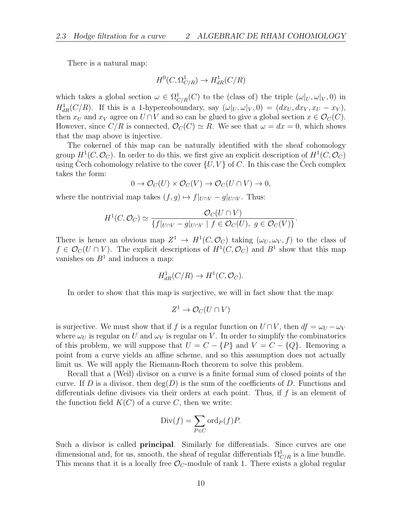There is a natural map:

$$
H^0(C, \Omega^1_{C/R}) \to H^1_{dR}(C/R)
$$

which takes a global section  $\omega \in \Omega^1_{C/R}(C)$  to the (class of) the triple  $(\omega|_U, \omega|_V, 0)$  in  $H^1_{dR}(C/R)$ . If this is a 1-hypercoboundary, say  $(\omega|_U, \omega|_V, 0) = (dx_U, dx_V, x_U - x_V)$ , then  $x_U$  and  $x_V$  agree on  $U \cap V$  and so can be glued to give a global section  $x \in \mathcal{O}_C(C)$ . However, since  $C/R$  is connected,  $\mathcal{O}_C(C) \simeq R$ . We see that  $\omega = dx = 0$ , which shows that the map above is injective.

The cokernel of this map can be naturally identified with the sheaf cohomology group  $H^1(C, \mathcal{O}_C)$ . In order to do this, we first give an explicit description of  $H^1(C, \mathcal{O}_C)$ using Cech cohomology relative to the cover  $\{U, V\}$  of C. In this case the Cech complex takes the form:

$$
0 \to \mathcal{O}_C(U) \times \mathcal{O}_C(V) \to \mathcal{O}_C(U \cap V) \to 0,
$$

where the nontrivial map takes  $(f, g) \mapsto f|_{U \cap V} - g|_{U \cap V}$ . Thus:

$$
H^1(C, \mathcal{O}_C) \simeq \frac{\mathcal{O}_C(U \cap V)}{\{f|_{U \cap V} - g|_{U \cap V} \mid f \in \mathcal{O}_C(U), g \in \mathcal{O}_C(V)\}}.
$$

There is hence an obvious map  $Z^1 \to H^1(C, \mathcal{O}_C)$  taking  $(\omega_U, \omega_V, f)$  to the class of  $f \in \mathcal{O}_C(U \cap V)$ . The explicit descriptions of  $H^1(C, \mathcal{O}_C)$  and  $B^1$  show that this map vanishes on  $B<sup>1</sup>$  and induces a map:

$$
H_{dR}^1(C/R) \to H^1(C, \mathcal{O}_C).
$$

In order to show that this map is surjective, we will in fact show that the map:

$$
Z^1\to \mathcal{O}_C(U\cap V)
$$

is surjective. We must show that if f is a regular function on  $U \cap V$ , then  $df = \omega_U - \omega_V$ where  $\omega_U$  is regular on U and  $\omega_V$  is regular on V. In order to simplify the combinatorics of this problem, we will suppose that  $U = C - \{P\}$  and  $V = C - \{Q\}$ . Removing a point from a curve yields an affine scheme, and so this assumption does not actually limit us. We will apply the Riemann-Roch theorem to solve this problem.

Recall that a (Weil) divisor on a curve is a finite formal sum of closed points of the curve. If D is a divisor, then  $deg(D)$  is the sum of the coefficients of D. Functions and differentials define divisors via their orders at each point. Thus, if  $f$  is an element of the function field  $K(C)$  of a curve C, then we write:

$$
Div(f) = \sum_{P \in C} ord_P(f)P.
$$

Such a divisor is called principal. Similarly for differentials. Since curves are one dimensional and, for us, smooth, the sheaf of regular differentials  $\Omega_{C/R}^1$  is a line bundle. This means that it is a locally free  $\mathcal{O}_C$ -module of rank 1. There exists a global regular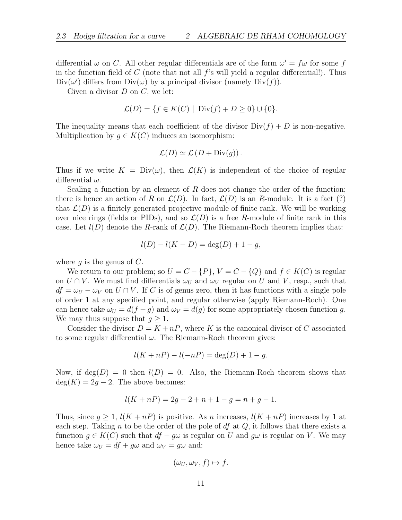differential  $\omega$  on C. All other regular differentials are of the form  $\omega' = f\omega$  for some f in the function field of C (note that not all  $f$ 's will yield a regular differential!). Thus  $Div(\omega')$  differs from  $Div(\omega)$  by a principal divisor (namely  $Div(f)$ ).

Given a divisor  $D$  on  $C$ , we let:

$$
\mathcal{L}(D) = \{ f \in K(C) \mid \text{Div}(f) + D \ge 0 \} \cup \{ 0 \}.
$$

The inequality means that each coefficient of the divisor  $Div(f) + D$  is non-negative. Multiplication by  $g \in K(C)$  induces an isomorphism:

$$
\mathcal{L}(D) \simeq \mathcal{L}(D + \text{Div}(g)).
$$

Thus if we write  $K = Div(\omega)$ , then  $\mathcal{L}(K)$  is independent of the choice of regular differential  $\omega$ .

Scaling a function by an element of R does not change the order of the function; there is hence an action of R on  $\mathcal{L}(D)$ . In fact,  $\mathcal{L}(D)$  is an R-module. It is a fact (?) that  $\mathcal{L}(D)$  is a finitely generated projective module of finite rank. We will be working over nice rings (fields or PIDs), and so  $\mathcal{L}(D)$  is a free R-module of finite rank in this case. Let  $l(D)$  denote the R-rank of  $\mathcal{L}(D)$ . The Riemann-Roch theorem implies that:

$$
l(D) - l(K - D) = \deg(D) + 1 - g,
$$

where  $q$  is the genus of  $C$ .

We return to our problem; so  $U = C - \{P\}$ ,  $V = C - \{Q\}$  and  $f \in K(C)$  is regular on  $U \cap V$ . We must find differentials  $\omega_U$  and  $\omega_V$  regular on U and V, resp., such that  $df = \omega_U - \omega_V$  on  $U \cap V$ . If C is of genus zero, then it has functions with a single pole of order 1 at any specified point, and regular otherwise (apply Riemann-Roch). One can hence take  $\omega_U = d(f - g)$  and  $\omega_V = d(g)$  for some appropriately chosen function g. We may thus suppose that  $q \geq 1$ .

Consider the divisor  $D = K + nP$ , where K is the canonical divisor of C associated to some regular differential  $\omega$ . The Riemann-Roch theorem gives:

$$
l(K + nP) - l(-nP) = deg(D) + 1 - g.
$$

Now, if  $\deg(D) = 0$  then  $l(D) = 0$ . Also, the Riemann-Roch theorem shows that  $deg(K) = 2g - 2$ . The above becomes:

$$
l(K + nP) = 2g - 2 + n + 1 - g = n + g - 1.
$$

Thus, since  $q \geq 1$ ,  $l(K + nP)$  is positive. As n increases,  $l(K + nP)$  increases by 1 at each step. Taking n to be the order of the pole of df at  $Q$ , it follows that there exists a function  $g \in K(C)$  such that  $df + g\omega$  is regular on U and  $g\omega$  is regular on V. We may hence take  $\omega_U = df + g\omega$  and  $\omega_V = g\omega$  and:

$$
(\omega_U, \omega_V, f) \mapsto f.
$$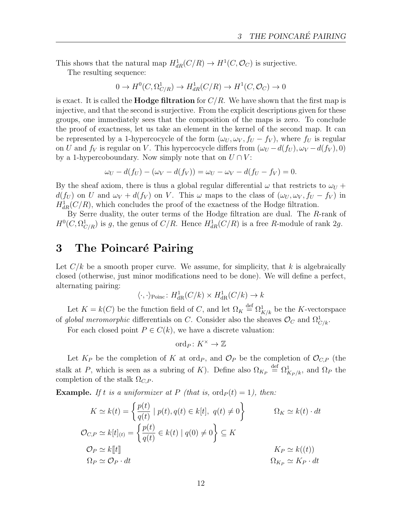This shows that the natural map  $H^1_{dR}(C/R) \to H^1(C, \mathcal{O}_C)$  is surjective.

The resulting sequence:

$$
0 \to H^0(C, \Omega^1_{C/R}) \to H^1_{dR}(C/R) \to H^1(C, \mathcal{O}_C) \to 0
$$

is exact. It is called the **Hodge filtration** for  $C/R$ . We have shown that the first map is injective, and that the second is surjective. From the explicit descriptions given for these groups, one immediately sees that the composition of the maps is zero. To conclude the proof of exactness, let us take an element in the kernel of the second map. It can be represented by a 1-hypercocycle of the form  $(\omega_U, \omega_V, f_U - f_V)$ , where  $f_U$  is regular on U and  $f_V$  is regular on V. This hypercocycle differs from  $(\omega_U - d(f_U), \omega_V - d(f_V), 0)$ by a 1-hypercoboundary. Now simply note that on  $U \cap V$ :

$$
\omega_U - d(f_U) - (\omega_V - d(f_V)) = \omega_U - \omega_V - d(f_U - f_V) = 0.
$$

By the sheaf axiom, there is thus a global regular differential  $\omega$  that restricts to  $\omega_U$  +  $d(f_U)$  on U and  $\omega_V + d(f_V)$  on V. This  $\omega$  maps to the class of  $(\omega_U, \omega_V, f_U - f_V)$  in  $H_{dR}^{1}(C/R)$ , which concludes the proof of the exactness of the Hodge filtration.

By Serre duality, the outer terms of the Hodge filtration are dual. The R-rank of  $H^0(C, \Omega^1_{C/R})$  is g, the genus of  $C/R$ . Hence  $H^1_{dR}(C/R)$  is a free R-module of rank 2g.

# 3 The Poincaré Pairing

Let  $C/k$  be a smooth proper curve. We assume, for simplicity, that k is algebraically closed (otherwise, just minor modifications need to be done). We will define a perfect, alternating pairing:

$$
\langle \cdot, \cdot \rangle_{\text{Poinc}} \colon H^1_{\text{dR}}(C/k) \times H^1_{\text{dR}}(C/k) \to k
$$

Let  $K = k(C)$  be the function field of C, and let  $\Omega_K \stackrel{\text{def}}{=} \Omega^1_{K/k}$  be the K-vectorspace of global meromorphic differentials on C. Consider also the sheaves  $\mathcal{O}_C$  and  $\Omega_{C/k}^1$ .

For each closed point  $P \in C(k)$ , we have a discrete valuation:

$$
\mathrm{ord}_P\colon K^\times\to\mathbb{Z}
$$

Let  $K_P$  be the completion of K at ord<sub>P</sub>, and  $\mathcal{O}_P$  be the completion of  $\mathcal{O}_{C,P}$  (the stalk at P, which is seen as a subring of K). Define also  $\Omega_{K_P} \stackrel{\text{def}}{=} \Omega_{K_P/k}^1$ , and  $\Omega_P$  the completion of the stalk  $\Omega_{C,P}$ .

**Example.** If t is a uniformizer at P (that is,  $\text{ord}_P(t) = 1$ ), then:

$$
K \simeq k(t) = \left\{ \frac{p(t)}{q(t)} \mid p(t), q(t) \in k[t], q(t) \neq 0 \right\} \qquad \Omega_K \simeq k(t) \cdot dt
$$
  

$$
\mathcal{O}_{C,P} \simeq k[t]_{(t)} = \left\{ \frac{p(t)}{q(t)} \in k(t) \mid q(0) \neq 0 \right\} \subseteq K
$$
  

$$
\mathcal{O}_P \simeq k[[t]] \qquad \qquad K_P \simeq k((t))
$$
  

$$
\Omega_P \simeq \mathcal{O}_P \cdot dt \qquad \qquad \Omega_{K_P} \simeq K_P \cdot dt
$$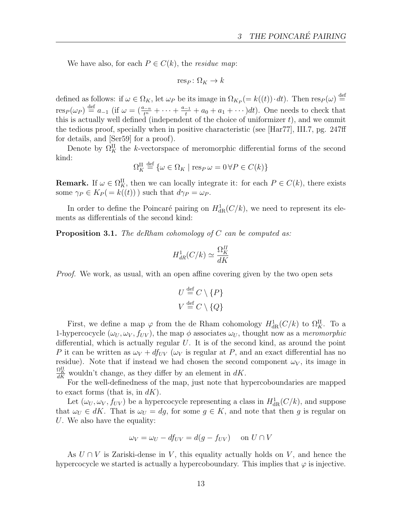We have also, for each  $P \in C(k)$ , the *residue map*:

$$
\mathrm{res}_P\colon\Omega_K\to k
$$

defined as follows: if  $\omega \in \Omega_K$ , let  $\omega_P$  be its image in  $\Omega_{K_P} (= k((t)) \cdot dt)$ . Then  $\text{res}_P(\omega) \stackrel{\text{def}}{=}$  $res_P(\omega_P) \stackrel{\text{def}}{=} a_{-1}$  (if  $\omega = (\frac{a_{-n}}{t^n} + \cdots + \frac{a_{-1}}{t} + a_0 + a_1 + \cdots)dt$ ). One needs to check that this is actually well defined (independent of the choice of uniformizer  $t$ ), and we ommit the tedious proof, specially when in positive characteristic (see [Har77], III.7, pg. 247ff for details, and [Ser59] for a proof).

Denote by  $\Omega_K^{\text{II}}$  the k-vectorspace of meromorphic differential forms of the second kind:

$$
\Omega_K^{\rm II} \stackrel{\rm def}{=} \{ \omega \in \Omega_K \mid \operatorname{res}_P \omega = 0 \,\forall P \in C(k) \}
$$

**Remark.** If  $\omega \in \Omega_K^{\Pi}$ , then we can locally integrate it: for each  $P \in C(k)$ , there exists some  $\gamma_P \in K_P(=k((t)))$  such that  $d\gamma_P = \omega_P$ .

In order to define the Poincaré pairing on  $H_{\text{dR}}^1(C/k)$ , we need to represent its elements as differentials of the second kind:

**Proposition 3.1.** The deRham cohomology of C can be computed as:

$$
H_{dR}^1(C/k) \simeq \frac{\Omega_K^H}{dK}
$$

*Proof.* We work, as usual, with an open affine covering given by the two open sets

$$
U \stackrel{\text{def}}{=} C \setminus \{P\}
$$
  

$$
V \stackrel{\text{def}}{=} C \setminus \{Q\}
$$

First, we define a map  $\varphi$  from the de Rham cohomology  $H^1_{\text{dR}}(C/k)$  to  $\Omega_K^{\text{II}}$ . To a 1-hypercocycle  $(\omega_U, \omega_V, f_{UV})$ , the map  $\phi$  associates  $\omega_U$ , thought now as a meromorphic differential, which is actually regular  $U$ . It is of the second kind, as around the point P it can be written as  $\omega_V + df_{UV}$  ( $\omega_V$  is regular at P, and an exact differential has no residue). Note that if instead we had chosen the second component  $\omega_V$ , its image in  $\frac{\Omega_K^{\text{II}}}{dK}$  wouldn't change, as they differ by an element in  $dK$ .

For the well-definedness of the map, just note that hypercoboundaries are mapped to exact forms (that is, in  $dK$ ).

Let  $(\omega_U, \omega_V, f_{UV})$  be a hypercocycle representing a class in  $H^1_{\text{dR}}(C/k)$ , and suppose that  $\omega_U \in dK$ . That is  $\omega_U = dg$ , for some  $g \in K$ , and note that then g is regular on U. We also have the equality:

$$
\omega_V = \omega_U - df_{UV} = d(g - f_{UV}) \quad \text{on } U \cap V
$$

As  $U \cap V$  is Zariski-dense in V, this equality actually holds on V, and hence the hypercocycle we started is actually a hypercoboundary. This implies that  $\varphi$  is injective.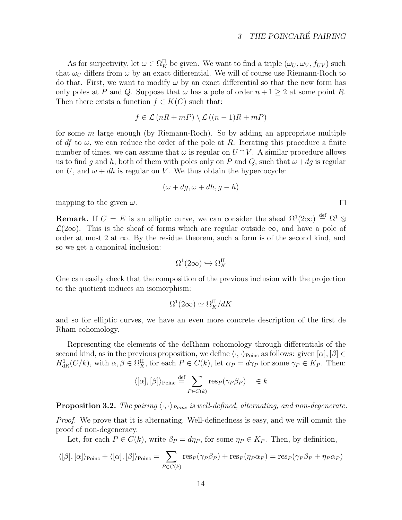As for surjectivity, let  $\omega \in \Omega_K^H$  be given. We want to find a triple  $(\omega_U, \omega_V, f_{UV})$  such that  $\omega_U$  differs from  $\omega$  by an exact differential. We will of course use Riemann-Roch to do that. First, we want to modify  $\omega$  by an exact differential so that the new form has only poles at P and Q. Suppose that  $\omega$  has a pole of order  $n + 1 \geq 2$  at some point R. Then there exists a function  $f \in K(C)$  such that:

$$
f \in \mathcal{L}(nR + mP) \setminus \mathcal{L}((n-1)R + mP)
$$

for some  $m$  large enough (by Riemann-Roch). So by adding an appropriate multiple of df to  $\omega$ , we can reduce the order of the pole at R. Iterating this procedure a finite number of times, we can assume that  $\omega$  is regular on  $U \cap V$ . A similar procedure allows us to find g and h, both of them with poles only on P and Q, such that  $\omega+dg$  is regular on U, and  $\omega + dh$  is regular on V. We thus obtain the hypercocycle:

$$
(\omega + dg, \omega + dh, g - h)
$$

mapping to the given  $\omega$ .

**Remark.** If  $C = E$  is an elliptic curve, we can consider the sheaf  $\Omega^1(2\infty) \stackrel{\text{def}}{=} \Omega^1 \otimes$  $\mathcal{L}(2\infty)$ . This is the sheaf of forms which are regular outside  $\infty$ , and have a pole of order at most 2 at  $\infty$ . By the residue theorem, such a form is of the second kind, and so we get a canonical inclusion:

$$
\Omega^1(2\infty) \hookrightarrow \Omega_K^{II}
$$

One can easily check that the composition of the previous inclusion with the projection to the quotient induces an isomorphism:

$$
\Omega^1(2\infty) \simeq \Omega_K^{\rm II}/dK
$$

and so for elliptic curves, we have an even more concrete description of the first de Rham cohomology.

Representing the elements of the deRham cohomology through differentials of the second kind, as in the previous proposition, we define  $\langle \cdot, \cdot \rangle_{\text{Poinc}}$  as follows: given  $[\alpha], [\beta] \in$  $H^1_{\text{dR}}(C/k)$ , with  $\alpha, \beta \in \Omega_K^{\text{II}}$ , for each  $P \in C(k)$ , let  $\alpha_P = d\gamma_P$  for some  $\gamma_P \in K_P$ . Then:

$$
\langle [\alpha], [\beta] \rangle_{\text{Poinc}} \stackrel{\text{def}}{=} \sum_{P \in C(k)} \text{res}_P(\gamma_P \beta_P) \quad \in k
$$

**Proposition 3.2.** The pairing  $\langle \cdot, \cdot \rangle_{Poinc}$  is well-defined, alternating, and non-degenerate.

Proof. We prove that it is alternating. Well-definedness is easy, and we will ommit the proof of non-degeneracy.

Let, for each  $P \in C(k)$ , write  $\beta_P = d\eta_P$ , for some  $\eta_P \in K_P$ . Then, by definition,

$$
\langle [\beta], [\alpha] \rangle_{\text{Poinc}} + \langle [\alpha], [\beta] \rangle_{\text{Poinc}} = \sum_{P \in C(k)} \text{res}_P(\gamma_P \beta_P) + \text{res}_P(\eta_P \alpha_P) = \text{res}_P(\gamma_P \beta_P + \eta_P \alpha_P)
$$

 $\Box$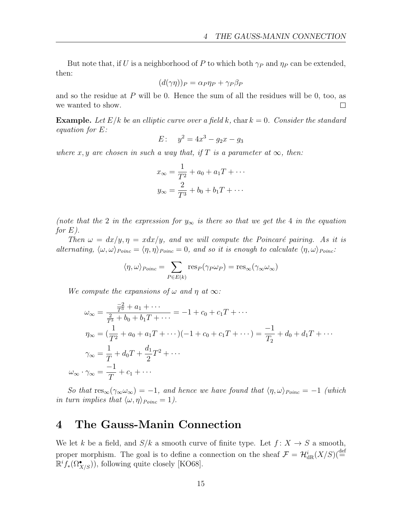But note that, if U is a neighborhood of P to which both  $\gamma_P$  and  $\eta_P$  can be extended, then:

$$
(d(\gamma \eta))_P = \alpha_P \eta_P + \gamma_P \beta_P
$$

and so the residue at  $P$  will be 0. Hence the sum of all the residues will be 0, too, as we wanted to show.  $\Box$ 

**Example.** Let  $E/k$  be an elliptic curve over a field k, char  $k = 0$ . Consider the standard equation for E:

$$
E: \quad y^2 = 4x^3 - g_2x - g_3
$$

where x, y are chosen in such a way that, if T is a parameter at  $\infty$ , then:

$$
x_{\infty} = \frac{1}{T^2} + a_0 + a_1 T + \cdots
$$

$$
y_{\infty} = \frac{2}{T^3} + b_0 + b_1 T + \cdots
$$

(note that the 2 in the expression for  $y_{\infty}$  is there so that we get the 4 in the equation for  $E$ ).

Then  $\omega = dx/y, \eta = x dx/y$ , and we will compute the Poincaré pairing. As it is alternating,  $\langle \omega, \omega \rangle_{Poinc} = \langle \eta, \eta \rangle_{Poinc} = 0$ , and so it is enough to calculate  $\langle \eta, \omega \rangle_{Poinc}$ :

$$
\langle \eta, \omega \rangle_{Poinc} = \sum_{P \in E(k)} \text{res}_P(\gamma_P \omega_P) = \text{res}_{\infty}(\gamma_{\infty} \omega_{\infty})
$$

We compute the expansions of  $\omega$  and  $\eta$  at  $\infty$ :

$$
\omega_{\infty} = \frac{\frac{-2}{T^3} + a_1 + \cdots}{\frac{2}{T^3} + b_0 + b_1 T + \cdots} = -1 + c_0 + c_1 T + \cdots
$$
  
\n
$$
\eta_{\infty} = (\frac{1}{T^2} + a_0 + a_1 T + \cdots)(-1 + c_0 + c_1 T + \cdots) = \frac{-1}{T_2} + d_0 + d_1 T + \cdots
$$
  
\n
$$
\gamma_{\infty} = \frac{1}{T} + d_0 T + \frac{d_1}{2} T^2 + \cdots
$$
  
\n
$$
\omega_{\infty} \cdot \gamma_{\infty} = \frac{-1}{T} + c_1 + \cdots
$$

So that  $res_{\infty}(\gamma_{\infty}\omega_{\infty}) = -1$ , and hence we have found that  $\langle \eta, \omega \rangle_{Poinc} = -1$  (which in turn implies that  $\langle \omega, \eta \rangle_{Poinc} = 1$ .

# 4 The Gauss-Manin Connection

We let k be a field, and  $S/k$  a smooth curve of finite type. Let  $f: X \to S$  a smooth, proper morphism. The goal is to define a connection on the sheaf  $\mathcal{F} = \mathcal{H}_{dR}^{i}(X/S)(\stackrel{\text{def}}{=}$  $\mathbb{R}^i f_*(\Omega^{\bullet}_{X/S})$ , following quite closely [KO68].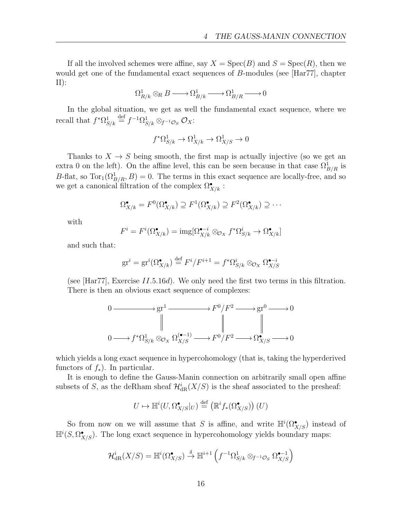If all the involved schemes were affine, say  $X = \text{Spec}(B)$  and  $S = \text{Spec}(R)$ , then we would get one of the fundamental exact sequences of B-modules (see [Har77], chapter  $II)$ :

$$
\Omega^1_{R/k} \otimes_R B \xrightarrow{\qquad} \Omega^1_{B/k} \xrightarrow{\qquad} \Omega^1_{B/R} \xrightarrow{\qquad} 0
$$

In the global situation, we get as well the fundamental exact sequence, where we recall that  $f^* \Omega_{S/k}^1 \stackrel{\text{def}}{=} f^{-1} \Omega_{S/k}^1 \otimes_{f^{-1} \mathcal{O}_S} \mathcal{O}_X$ :

$$
f^*\Omega^1_{S/k} \to \Omega^1_{X/k} \to \Omega^1_{X/S} \to 0
$$

Thanks to  $X \to S$  being smooth, the first map is actually injective (so we get an extra 0 on the left). On the affine level, this can be seen because in that case  $\Omega^1_{B/R}$  is B-flat, so  $Tor_1(\Omega^1_{B/R}, B) = 0$ . The terms in this exact sequence are locally-free, and so we get a canonical filtration of the complex  $\Omega^{\bullet}_{X/k}$ :

$$
\Omega_{X/k}^{\bullet} = F^{0}(\Omega_{X/k}^{\bullet}) \supseteq F^{1}(\Omega_{X/k}^{\bullet}) \supseteq F^{2}(\Omega_{X/k}^{\bullet}) \supseteq \cdots
$$

with

$$
F^i = F^i(\Omega_{X/k}^{\bullet}) = \text{img}[\Omega_{X/k}^{\bullet - i} \otimes_{\mathcal{O}_X} f^* \Omega_{S/k}^i \to \Omega_{X/k}^{\bullet}]
$$

and such that:

$$
\mathrm{gr}^i = \mathrm{gr}^i(\Omega_{X/k}^{\bullet}) \stackrel{\text{def}}{=} F^i / F^{i+1} = f^* \Omega_{S/k}^i \otimes_{\mathcal{O}_X} \Omega_{X/S}^{\bullet - i}
$$

(see [Har77], Exercise  $II.5.16d$ ). We only need the first two terms in this filtration. There is then an obvious exact sequence of complexes:

$$
0 \longrightarrow \text{gr}^{1} \longrightarrow F^{0}/F^{2} \longrightarrow \text{gr}^{0} \longrightarrow 0
$$
  

$$
\parallel \qquad \qquad \parallel \qquad \qquad \parallel
$$
  

$$
0 \longrightarrow f^{*}\Omega_{S/k}^{1} \otimes_{\mathcal{O}_{X}} \Omega_{X/S}^{(\bullet-1)} \longrightarrow F^{0}/F^{2} \longrightarrow \Omega_{X/S}^{\bullet} \longrightarrow 0
$$

which yields a long exact sequence in hypercohomology (that is, taking the hyperderived functors of  $f_*$ ). In particular.

It is enough to define the Gauss-Manin connection on arbitrarily small open affine subsets of S, as the deRham sheaf  $\mathcal{H}^i_{\text{dR}}(X/S)$  is the sheaf associated to the presheaf:

$$
U \mapsto \mathbb{H}^i(U,\Omega_{X/S}^\bullet|_U) \stackrel{\text{def}}{=} (\mathbb{R}^i f_*(\Omega_{X/S}^\bullet)\big)(U)
$$

So from now on we will assume that S is affine, and write  $\mathbb{H}^i(\Omega^\bullet_{X/S})$  instead of  $\mathbb{H}^i(S, \Omega^{\bullet}_{X/S})$ . The long exact sequence in hypercohomology yields boundary maps:

$$
\mathcal{H}^i_{\mathrm{dR}}(X/S) = \mathbb{H}^i(\Omega^\bullet_{X/S}) \stackrel{\delta}{\to} \mathbb{H}^{i+1}\left(f^{-1}\Omega^1_{S/k} \otimes_{f^{-1}\mathcal{O}_S} \Omega^{\bullet-1}_{X/S}\right)
$$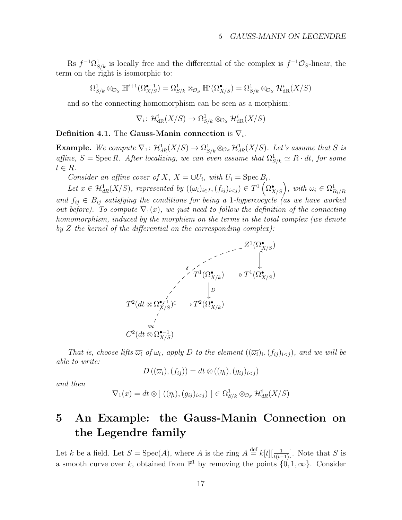Rs  $f^{-1}\Omega_{S/k}^1$  is locally free and the differential of the complex is  $f^{-1}\mathcal{O}_S$ -linear, the term on the right is isomorphic to:

$$
\Omega_{S/k}^1 \otimes_{\mathcal{O}_S} \mathbb{H}^{i+1}(\Omega_{X/S}^{\bullet-1}) = \Omega_{S/k}^1 \otimes_{\mathcal{O}_S} \mathbb{H}^i(\Omega_{X/S}^{\bullet}) = \Omega_{S/k}^1 \otimes_{\mathcal{O}_S} \mathcal{H}_{dR}^i(X/S)
$$

and so the connecting homomorphism can be seen as a morphism:

$$
\nabla_i \colon \mathcal{H}^i_{\mathrm{dR}}(X/S) \to \Omega^1_{S/k} \otimes_{\mathcal{O}_S} \mathcal{H}^i_{\mathrm{dR}}(X/S)
$$

#### Definition 4.1. The Gauss-Manin connection is  $\nabla_i$ .

**Example.** We compute  $\nabla_1: \mathcal{H}^1_{dR}(X/S) \to \Omega^1_{S/k} \otimes_{\mathcal{O}_S} \mathcal{H}^1_{dR}(X/S)$ . Let's assume that S is affine,  $S = \text{Spec } R$ . After localizing, we can even assume that  $\Omega_{S/k}^1 \simeq R \cdot dt$ , for some  $t \in R$ .

Consider an affine cover of X,  $X = \bigcup U_i$ , with  $U_i = \text{Spec } B_i$ .

Let  $x \in \mathcal{H}_{dR}^1(X/S)$ , represented by  $((\omega_i)_{i \in I}, (f_{ij})_{i \leq j}) \in T^1(\Omega_{X/S}^{\bullet})$ , with  $\omega_i \in \Omega_{B_i/R}^1$ and  $f_{ij} \in B_{ij}$  satisfying the conditions for being a 1-hypercocycle (as we have worked out before). To compute  $\nabla_1(x)$ , we just need to follow the definition of the connecting homomorphism, induced by the morphism on the terms in the total complex (we denote by  $Z$  the kernel of the differential on the corresponding complex):

$$
T^2(dt \otimes \Omega^{\bullet\prime\prime}_{X/S})
$$
\n
$$
T^2(dt \otimes \Omega^{\bullet\prime\prime}_{X/S}) \longrightarrow T^2(\Omega^{\bullet}_{X/k})
$$
\n
$$
\downarrow
$$
\n
$$
C^2(dt \otimes \Omega^{\bullet\prime\prime}_{X/S})
$$
\n
$$
\downarrow
$$
\n
$$
C^2(dt \otimes \Omega^{\bullet\prime\prime}_{X/S})
$$

That is, choose lifts  $\overline{\omega_i}$  of  $\omega_i$ , apply D to the element  $((\overline{\omega_i})_i, (f_{ij})_{i\leq j})$ , and we will be able to write:

$$
D\left((\overline{\omega}_i),(f_{ij})\right)=dt\otimes ((\eta_i),(g_{ij})_{i
$$

and then

$$
\nabla_1(x) = dt \otimes [ ((\eta_i), (g_{ij})_{i < j}) ] \in \Omega^1_{S/k} \otimes_{\mathcal{O}_S} \mathcal{H}_{dR}^i(X/S)
$$

# 5 An Example: the Gauss-Manin Connection on the Legendre family

Let k be a field. Let  $S = \text{Spec}(A)$ , where A is the ring  $A \stackrel{\text{def}}{=} k[t][\frac{1}{t(t-1)}]$ . Note that S is a smooth curve over k, obtained from  $\mathbb{P}^1$  by removing the points  $\{0, 1, \infty\}$ . Consider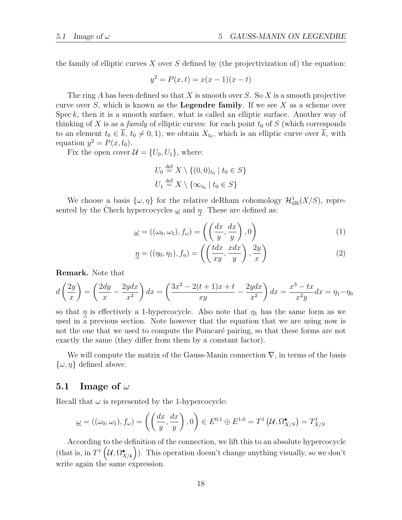the family of elliptic curves X over S defined by (the projectivization of) the equation:

$$
y^2 = P(x, t) = x(x - 1)(x - t)
$$

The ring A has been defined so that X is smooth over S. So X is a smooth projective curve over S, which is known as the **Legendre family**. If we see X as a scheme over Spec  $k$ , then it is a smooth surface, what is called an elliptic surface. Another way of thinking of X is as a *family* of elliptic curves: for each point  $t_0$  of S (which corresponds to an element  $t_0 \in \overline{k}$ ,  $t_0 \neq 0, 1$ , we obtain  $X_{t_0}$ , which is an elliptic curve over  $\overline{k}$ , with equation  $y^2 = P(x, t_0)$ .

Fix the open cover  $\mathcal{U} = \{U_0, U_1\}$ , where:

$$
U_0 \stackrel{\text{def}}{=} X \setminus \{ (0,0)_{t_0} \mid t_0 \in S \}
$$
  

$$
U_1 \stackrel{\text{def}}{=} X \setminus \{ \infty_{t_0} \mid t_0 \in S \}
$$

We choose a basis  $\{\omega, \eta\}$  for the relative deRham cohomology  $\mathcal{H}^1_{\text{dR}}(X/S)$ , represented by the Chech hypercocycles  $\omega$  and  $\eta$ . These are defined as:

$$
\underline{\omega} = ((\omega_0, \omega_1), f_{\omega}) = \left( \left( \frac{dx}{y}, \frac{dx}{y} \right), 0 \right) \tag{1}
$$

$$
\underline{\eta} = ((\eta_0, \eta_1), f_\eta) = \left( \left( \frac{tdx}{xy}, \frac{xdx}{y} \right), \frac{2y}{x} \right) \tag{2}
$$

Remark. Note that

$$
d\left(\frac{2y}{x}\right) = \left(\frac{2dy}{x} - \frac{2ydx}{x^2}\right)dx = \left(\frac{3x^2 - 2(t+1)x + t}{xy} - \frac{2ydx}{x^2}\right)dx = \frac{x^3 - tx}{x^2y}dx = \eta_1 - \eta_0
$$

so that  $\eta$  is effectively a 1-hypercocycle. Also note that  $\eta_1$  has the same form as we used in a previous section. Note however that the equation that we are using now is not the one that we used to compute the Poincaré pairing, so that these forms are not exactly the same (they differ from them by a constant factor).

We will compute the matrix of the Gauss-Manin connection  $\nabla$ , in terms of the basis  $\{\omega, \eta\}$  defined above.

#### 5.1 Image of  $\omega$

Recall that  $\omega$  is represented by the 1-hypercocycle:

$$
\underline{\omega} = ((\omega_0, \omega_1), f_{\omega}) = \left( \left( \frac{dx}{y}, \frac{dx}{y} \right), 0 \right) \in E^{0,1} \oplus E^{1,0} = T^1 \left( \mathcal{U}, \Omega^{\bullet}_{X/S} \right) = T^1_{X/S}
$$

According to the definition of the connection, we lift this to an absolute hypercocycle (that is, in  $T^1(\mathcal{U}, \Omega^{\bullet}_{X/k})$ ). This operation doesn't change anything visually, so we don't write again the same expression.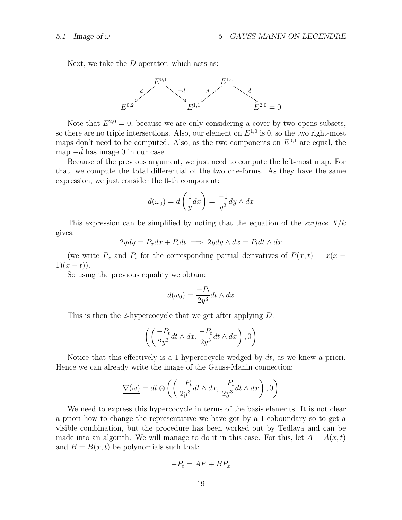Next, we take the D operator, which acts as:



Note that  $E^{2,0} = 0$ , because we are only considering a cover by two opens subsets, so there are no triple intersections. Also, our element on  $E^{1,0}$  is 0, so the two right-most maps don't need to be computed. Also, as the two components on  $E^{0,1}$  are equal, the map  $-d$  has image 0 in our case.

Because of the previous argument, we just need to compute the left-most map. For that, we compute the total differential of the two one-forms. As they have the same expression, we just consider the 0-th component:

$$
d(\omega_0) = d\left(\frac{1}{y}dx\right) = \frac{-1}{y^2}dy \wedge dx
$$

This expression can be simplified by noting that the equation of the *surface*  $X/k$ gives:

$$
2ydy = P_x dx + P_t dt \implies 2ydy \wedge dx = P_t dt \wedge dx
$$

(we write  $P_x$  and  $P_t$  for the corresponding partial derivatives of  $P(x,t) = x(x 1(x-t)$ .

So using the previous equality we obtain:

$$
d(\omega_0) = \frac{-P_t}{2y^3} dt \wedge dx
$$

This is then the 2-hypercocycle that we get after applying  $D$ :

$$
\left( \left( \frac{-P_t}{2y^3} dt \wedge dx, \frac{-P_t}{2y^3} dt \wedge dx \right), 0 \right)
$$

Notice that this effectively is a 1-hypercocycle wedged by dt, as we knew a priori. Hence we can already write the image of the Gauss-Manin connection:

$$
\underline{\nabla(\omega)} = dt \otimes \left( \left( \frac{-P_t}{2y^3} dt \wedge dx, \frac{-P_t}{2y^3} dt \wedge dx \right), 0 \right)
$$

We need to express this hypercocycle in terms of the basis elements. It is not clear a priori how to change the representative we have got by a 1-coboundary so to get a visible combination, but the procedure has been worked out by Tedlaya and can be made into an algorith. We will manage to do it in this case. For this, let  $A = A(x, t)$ and  $B = B(x, t)$  be polynomials such that:

$$
-P_t = AP + BP_x
$$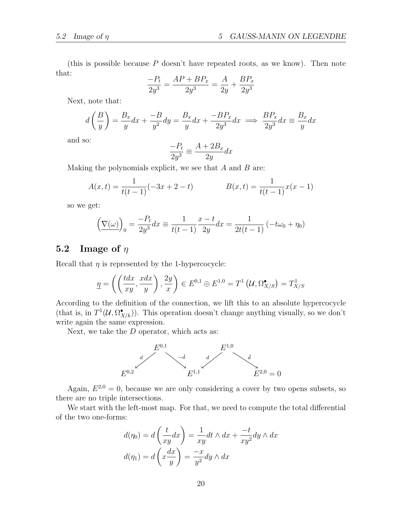(this is possible because  $P$  doesn't have repeated roots, as we know). Then note that:

$$
\frac{-P_t}{2y^3} = \frac{AP + BP_x}{2y^3} = \frac{A}{2y} + \frac{BP_x}{2y^3}
$$

Next, note that:

$$
d\left(\frac{B}{y}\right) = \frac{B_x}{y}dx + \frac{-B}{y^2}dy = \frac{B_x}{y}dx + \frac{-BP_x}{2y^3}dx \implies \frac{BP_x}{2y^3}dx \equiv \frac{B_x}{y}dx
$$

and so:

$$
\frac{-P_t}{2y^3} \equiv \frac{A + 2B_x}{2y} dx
$$

Making the polynomials explicit, we see that  $A$  and  $B$  are:

$$
A(x,t) = \frac{1}{t(t-1)}(-3x+2-t) \qquad B(x,t) = \frac{1}{t(t-1)}x(x-1)
$$

so we get:

$$
\left(\nabla(\omega)\right)_0 = \frac{-P_t}{2y^3} dx \equiv \frac{1}{t(t-1)} \frac{x-t}{2y} dx = \frac{1}{2t(t-1)} \left(-t\omega_0 + \eta_0\right)
$$

# 5.2 Image of  $\eta$

Recall that  $\eta$  is represented by the 1-hypercocycle:

$$
\underline{\eta} = \left( \left( \frac{tdx}{xy}, \frac{xdx}{y} \right), \frac{2y}{x} \right) \in E^{0,1} \oplus E^{1,0} = T^1 \left( \mathcal{U}, \Omega^{\bullet}_{X/S} \right) = T^1_{X/S}
$$

According to the definition of the connection, we lift this to an absolute hypercocycle (that is, in  $T^1(\mathcal{U}, \Omega^{\bullet}_{X/k})$ ). This operation doesn't change anything visually, so we don't write again the same expression.

Next, we take the  $D$  operator, which acts as:



Again,  $E^{2,0} = 0$ , because we are only considering a cover by two opens subsets, so there are no triple intersections.

We start with the left-most map. For that, we need to compute the total differential of the two one-forms:

$$
d(\eta_0) = d\left(\frac{t}{xy}dx\right) = \frac{1}{xy}dt \wedge dx + \frac{-t}{xy^2}dy \wedge dx
$$

$$
d(\eta_1) = d\left(x\frac{dx}{y}\right) = \frac{-x}{y^2}dy \wedge dx
$$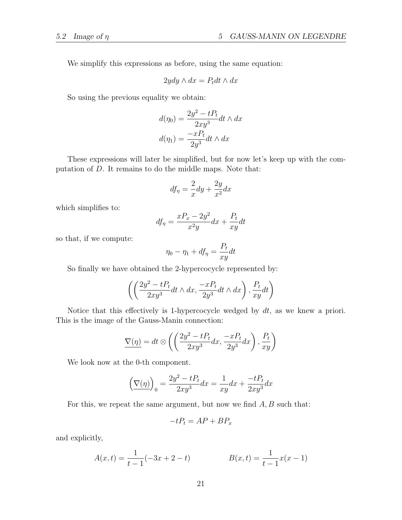We simplify this expressions as before, using the same equation:

$$
2ydy \wedge dx = P_t dt \wedge dx
$$

So using the previous equality we obtain:

$$
d(\eta_0) = \frac{2y^2 - tP_t}{2xy^3} dt \wedge dx
$$

$$
d(\eta_1) = \frac{-xP_t}{2y^3} dt \wedge dx
$$

These expressions will later be simplified, but for now let's keep up with the computation of D. It remains to do the middle maps. Note that:

$$
df_{\eta} = \frac{2}{x}dy + \frac{2y}{x^2}dx
$$

which simplifies to:

$$
df_{\eta} = \frac{xP_x - 2y^2}{x^2y}dx + \frac{P_t}{xy}dt
$$

so that, if we compute:

$$
\eta_0 - \eta_1 + df_\eta = \frac{P_t}{xy} dt
$$

So finally we have obtained the 2-hypercocycle represented by:

$$
\left( \left( \frac{2y^2 - tP_t}{2xy^3} dt \wedge dx, \frac{-xP_t}{2y^3} dt \wedge dx \right), \frac{P_t}{xy} dt \right)
$$

Notice that this effectively is 1-hypercocycle wedged by dt, as we knew a priori. This is the image of the Gauss-Manin connection:

$$
\underline{\nabla(\eta)} = dt \otimes \left( \left( \frac{2y^2 - tP_t}{2xy^3} dx, \frac{-xP_t}{2y^3} dx \right), \frac{P_t}{xy} \right)
$$

We look now at the 0-th component.

$$
\left(\nabla(\eta)\right)_0 = \frac{2y^2 - tP_t}{2xy^3}dx = \frac{1}{xy}dx + \frac{-tP_t}{2xy^3}dx
$$

For this, we repeat the same argument, but now we find  $A, B$  such that:

$$
-tP_t = AP + BP_x
$$

and explicitly,

$$
A(x,t) = \frac{1}{t-1}(-3x+2-t)
$$
 
$$
B(x,t) = \frac{1}{t-1}x(x-1)
$$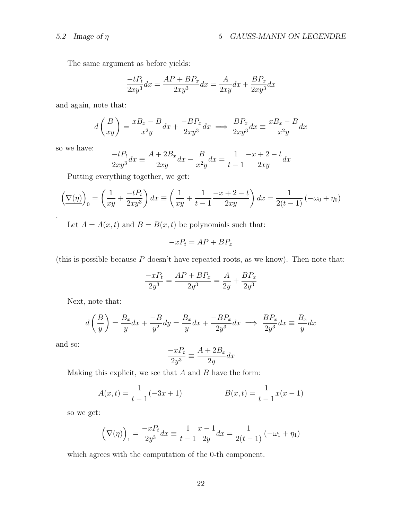The same argument as before yields:

$$
\frac{-tP_t}{2xy^3}dx = \frac{AP + BP_x}{2xy^3}dx = \frac{A}{2xy}dx + \frac{BP_x}{2xy^3}dx
$$

and again, note that:

$$
d\left(\frac{B}{xy}\right) = \frac{xB_x - B}{x^2y}dx + \frac{-BP_x}{2xy^3}dx \implies \frac{BP_x}{2xy^3}dx \equiv \frac{xB_x - B}{x^2y}dx
$$

so we have:

.

$$
\frac{-tP_t}{2xy^3}dx \equiv \frac{A + 2B_x}{2xy}dx - \frac{B}{x^2y}dx = \frac{1}{t-1} \frac{-x+2-t}{2xy}dx
$$

Putting everything together, we get:

$$
\left(\nabla(\eta)\right)_0 = \left(\frac{1}{xy} + \frac{-tP_t}{2xy^3}\right)dx \equiv \left(\frac{1}{xy} + \frac{1}{t-1} \frac{-x+2-t}{2xy}\right)dx = \frac{1}{2(t-1)}\left(-\omega_0 + \eta_0\right)
$$

Let  $A = A(x, t)$  and  $B = B(x, t)$  be polynomials such that:

$$
-xP_t = AP + BP_x
$$

(this is possible because  $P$  doesn't have repeated roots, as we know). Then note that:

$$
\frac{-xP_t}{2y^3} = \frac{AP + BP_x}{2y^3} = \frac{A}{2y} + \frac{BP_x}{2y^3}
$$

Next, note that:

$$
d\left(\frac{B}{y}\right) = \frac{B_x}{y}dx + \frac{-B}{y^2}dy = \frac{B_x}{y}dx + \frac{-BP_x}{2y^3}dx \implies \frac{BP_x}{2y^3}dx \equiv \frac{B_x}{y}dx
$$

and so:

$$
\frac{-xP_t}{2y^3} \equiv \frac{A + 2B_x}{2y} dx
$$

Making this explicit, we see that  $A$  and  $B$  have the form:

$$
A(x,t) = \frac{1}{t-1}(-3x+1)
$$
 
$$
B(x,t) = \frac{1}{t-1}x(x-1)
$$

so we get:

$$
\left(\nabla(\eta)\right)_1 = \frac{-xP_t}{2y^3}dx \equiv \frac{1}{t-1}\frac{x-1}{2y}dx = \frac{1}{2(t-1)}\left(-\omega_1 + \eta_1\right)
$$

which agrees with the computation of the 0-th component.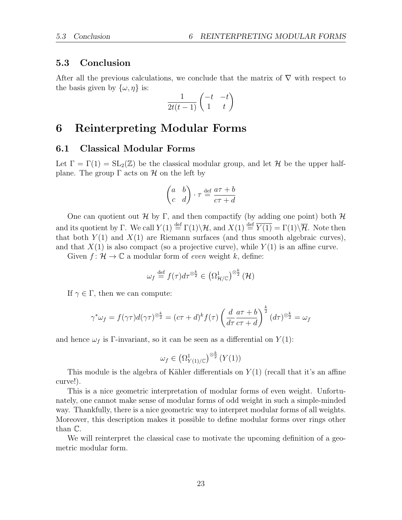#### 5.3 Conclusion

After all the previous calculations, we conclude that the matrix of  $\nabla$  with respect to the basis given by  $\{\omega, \eta\}$  is:

$$
\frac{1}{2t(t-1)} \begin{pmatrix} -t & -t \\ 1 & t \end{pmatrix}
$$

# 6 Reinterpreting Modular Forms

#### 6.1 Classical Modular Forms

Let  $\Gamma = \Gamma(1) = SL_2(\mathbb{Z})$  be the classical modular group, and let H be the upper halfplane. The group  $\Gamma$  acts on  $\mathcal H$  on the left by

$$
\begin{pmatrix} a & b \\ c & d \end{pmatrix} \cdot \tau \stackrel{\text{def}}{=} \frac{a\tau + b}{c\tau + d}
$$

One can quotient out H by Γ, and then compactify (by adding one point) both H and its quotient by Γ. We call  $Y(1) \stackrel{\text{def}}{=} \Gamma(1) \backslash \mathcal{H}$ , and  $X(1) \stackrel{\text{def}}{=} \overline{Y(1)} = \Gamma(1) \backslash \overline{\mathcal{H}}$ . Note then that both  $Y(1)$  and  $X(1)$  are Riemann surfaces (and thus smooth algebraic curves), and that  $X(1)$  is also compact (so a projective curve), while  $Y(1)$  is an affine curve.

Given  $f: \mathcal{H} \to \mathbb{C}$  a modular form of *even* weight k, define:

$$
\omega_f \stackrel{\text{def}}{=} f(\tau) d\tau^{\otimes \frac{k}{2}} \in \left(\Omega^1_{\mathcal{H}/\mathbb{C}}\right)^{\otimes \frac{k}{2}}(\mathcal{H})
$$

If  $\gamma \in \Gamma$ , then we can compute:

$$
\gamma^* \omega_f = f(\gamma \tau) d(\gamma \tau)^{\otimes \frac{k}{2}} = (c\tau + d)^k f(\tau) \left(\frac{d}{d\tau} \frac{a\tau + b}{c\tau + d}\right)^{\frac{k}{2}} (d\tau)^{\otimes \frac{k}{2}} = \omega_f
$$

and hence  $\omega_f$  is Γ-invariant, so it can be seen as a differential on  $Y(1)$ :

$$
\omega_f \in \left(\Omega^1_{Y(1)/\mathbb{C}}\right)^{\otimes \frac{k}{2}} (Y(1))
$$

This module is the algebra of Kähler differentials on  $Y(1)$  (recall that it's an affine curve!).

This is a nice geometric interpretation of modular forms of even weight. Unfortunately, one cannot make sense of modular forms of odd weight in such a simple-minded way. Thankfully, there is a nice geometric way to interpret modular forms of all weights. Moreover, this description makes it possible to define modular forms over rings other than C.

We will reinterpret the classical case to motivate the upcoming definition of a geometric modular form.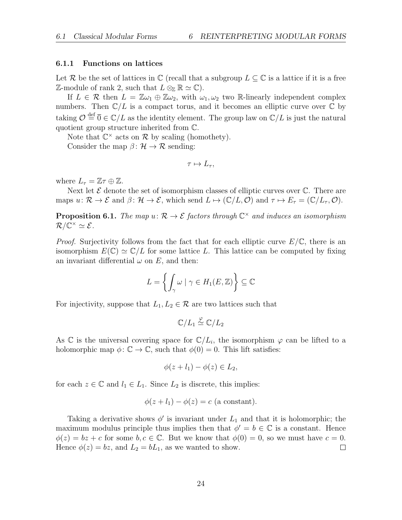#### 6.1.1 Functions on lattices

Let R be the set of lattices in  $\mathbb C$  (recall that a subgroup  $L \subseteq \mathbb C$  is a lattice if it is a free  $\mathbb{Z}\text{-module of rank }2, \text{ such that } L \otimes_{\mathbb{Z}} \mathbb{R} \simeq \mathbb{C}.$ 

If  $L \in \mathcal{R}$  then  $L = \mathbb{Z}\omega_1 \oplus \mathbb{Z}\omega_2$ , with  $\omega_1, \omega_2$  two R-linearly independent complex numbers. Then  $\mathbb{C}/L$  is a compact torus, and it becomes an elliptic curve over  $\mathbb{C}$  by taking  $\mathcal{O} \stackrel{\text{def}}{=} \overline{0} \in \mathbb{C}/L$  as the identity element. The group law on  $\mathbb{C}/L$  is just the natural quotient group structure inherited from C.

Note that  $\mathbb{C}^{\times}$  acts on  $\mathcal R$  by scaling (homothety).

Consider the map  $\beta: \mathcal{H} \to \mathcal{R}$  sending:

$$
\tau \mapsto L_{\tau},
$$

where  $L_{\tau} = \mathbb{Z}\tau \oplus \mathbb{Z}$ .

Next let  $\mathcal E$  denote the set of isomorphism classes of elliptic curves over  $\mathbb C$ . There are maps  $u: \mathcal{R} \to \mathcal{E}$  and  $\beta: \mathcal{H} \to \mathcal{E}$ , which send  $L \mapsto (\mathbb{C}/L, \mathcal{O})$  and  $\tau \mapsto E_{\tau} = (\mathbb{C}/L_{\tau}, \mathcal{O})$ .

**Proposition 6.1.** The map  $u: \mathcal{R} \to \mathcal{E}$  factors through  $\mathbb{C}^{\times}$  and induces an isomorphism  $\mathcal{R}/\overline{\mathbb{C}}^{\times} \simeq \mathcal{E}.$ 

*Proof.* Surjectivity follows from the fact that for each elliptic curve  $E/\mathbb{C}$ , there is an isomorphism  $E(\mathbb{C}) \simeq \mathbb{C}/L$  for some lattice L. This lattice can be computed by fixing an invariant differential  $\omega$  on E, and then:

$$
L = \left\{ \int_{\gamma} \omega \mid \gamma \in H_1(E, \mathbb{Z}) \right\} \subseteq \mathbb{C}
$$

For injectivity, suppose that  $L_1, L_2 \in \mathcal{R}$  are two lattices such that

$$
\mathbb{C}/L_1\stackrel{\varphi}{\simeq}\mathbb{C}/L_2
$$

As  $\mathbb C$  is the universal covering space for  $\mathbb C/L_i$ , the isomorphism  $\varphi$  can be lifted to a holomorphic map  $\phi: \mathbb{C} \to \mathbb{C}$ , such that  $\phi(0) = 0$ . This lift satisfies:

$$
\phi(z + l_1) - \phi(z) \in L_2,
$$

for each  $z \in \mathbb{C}$  and  $l_1 \in L_1$ . Since  $L_2$  is discrete, this implies:

$$
\phi(z + l_1) - \phi(z) = c
$$
 (a constant).

Taking a derivative shows  $\phi'$  is invariant under  $L_1$  and that it is holomorphic; the maximum modulus principle thus implies then that  $\phi' = b \in \mathbb{C}$  is a constant. Hence  $\phi(z) = bz + c$  for some  $b, c \in \mathbb{C}$ . But we know that  $\phi(0) = 0$ , so we must have  $c = 0$ . Hence  $\phi(z) = bz$ , and  $L_2 = bL_1$ , as we wanted to show.  $\Box$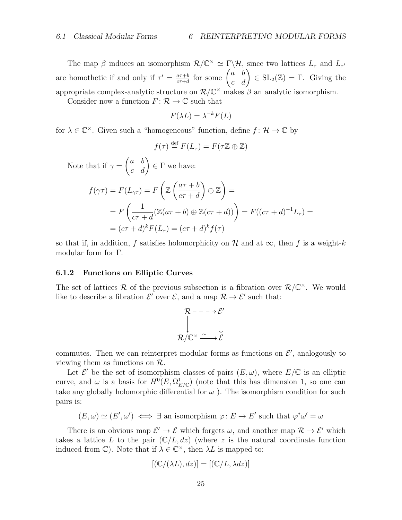The map  $\beta$  induces an isomorphism  $\mathcal{R}/\mathbb{C}^{\times} \simeq \Gamma \backslash \mathcal{H}$ , since two lattices  $L_{\tau}$  and  $L_{\tau'}$ are homothetic if and only if  $\tau' = \frac{a\tau+b}{c\tau+d}$  $\frac{a\tau+b}{c\tau+d}$  for some  $\begin{pmatrix} a & b \\ c & d \end{pmatrix} \in SL_2(\mathbb{Z}) = \Gamma$ . Giving the appropriate complex-analytic structure on  $\mathcal{R}/\mathbb{C}^{\times}$  makes  $\beta$  an analytic isomorphism.

Consider now a function  $F: \mathcal{R} \to \mathbb{C}$  such that

$$
F(\lambda L) = \lambda^{-k} F(L)
$$

for  $\lambda \in \mathbb{C}^{\times}$ . Given such a "homogeneous" function, define  $f: \mathcal{H} \to \mathbb{C}$  by

$$
f(\tau) \stackrel{\text{def}}{=} F(L_{\tau}) = F(\tau \mathbb{Z} \oplus \mathbb{Z})
$$

Note that if  $\gamma =$  $\begin{pmatrix} a & b \\ c & d \end{pmatrix} \in \Gamma$  we have:

$$
f(\gamma \tau) = F(L_{\gamma \tau}) = F\left(\mathbb{Z}\left(\frac{a\tau + b}{c\tau + d}\right) \oplus \mathbb{Z}\right) =
$$
  
= 
$$
F\left(\frac{1}{c\tau + d}(\mathbb{Z}(a\tau + b) \oplus \mathbb{Z}(c\tau + d))\right) = F((c\tau + d)^{-1}L_{\tau}) =
$$
  
= 
$$
(c\tau + d)^{k}F(L_{\tau}) = (c\tau + d)^{k}f(\tau)
$$

so that if, in addition, f satisfies holomorphicity on H and at  $\infty$ , then f is a weight-k modular form for Γ.

#### 6.1.2 Functions on Elliptic Curves

The set of lattices R of the previous subsection is a fibration over  $\mathcal{R}/\mathbb{C}^{\times}$ . We would like to describe a fibration  $\mathcal{E}'$  over  $\mathcal{E}$ , and a map  $\mathcal{R} \to \mathcal{E}'$  such that:

$$
\mathcal{R} \rightarrow - \rightarrow \mathcal{E}'
$$
  

$$
\downarrow \qquad \qquad \downarrow
$$
  

$$
\mathcal{R}/\mathbb{C}^{\times} \xrightarrow{\simeq} \mathcal{E}
$$

commutes. Then we can reinterpret modular forms as functions on  $\mathcal{E}'$ , analogously to viewing them as functions on  $\mathcal{R}$ .

Let  $\mathcal{E}'$  be the set of isomorphism classes of pairs  $(E, \omega)$ , where  $E/\mathbb{C}$  is an elliptic curve, and  $\omega$  is a basis for  $H^0(E, \Omega^1_{E/\mathbb{C}})$  (note that this has dimension 1, so one can take any globally holomorphic differential for  $\omega$ ). The isomorphism condition for such pairs is:

 $(E, \omega) \simeq (E', \omega') \iff \exists$  an isomorphism  $\varphi : E \to E'$  such that  $\varphi^* \omega' = \omega$ 

There is an obvious map  $\mathcal{E}' \to \mathcal{E}$  which forgets  $\omega$ , and another map  $\mathcal{R} \to \mathcal{E}'$  which takes a lattice L to the pair  $(\mathbb{C}/L, dz)$  (where z is the natural coordinate function induced from  $\mathbb{C}$ ). Note that if  $\lambda \in \mathbb{C}^{\times}$ , then  $\lambda L$  is mapped to:

$$
[(\mathbb{C}/(\lambda L), dz)] = [(\mathbb{C}/L, \lambda dz)]
$$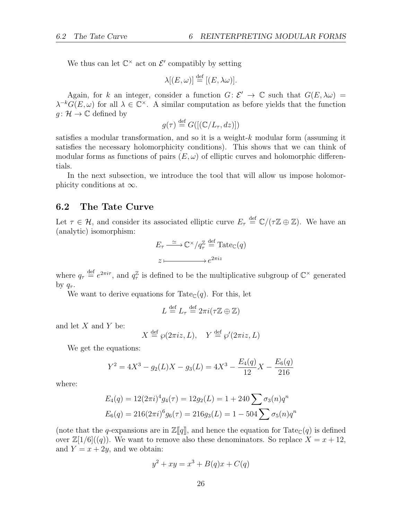We thus can let  $\mathbb{C}^{\times}$  act on  $\mathcal{E}'$  compatibly by setting

$$
\lambda[(E,\omega)] \stackrel{\text{def}}{=} [(E,\lambda\omega)].
$$

Again, for k an integer, consider a function  $G: \mathcal{E}' \to \mathbb{C}$  such that  $G(E, \lambda \omega) =$  $\lambda^{-k}G(E,\omega)$  for all  $\lambda \in \mathbb{C}^{\times}$ . A similar computation as before yields that the function  $q: \mathcal{H} \to \mathbb{C}$  defined by

$$
g(\tau) \stackrel{\text{def}}{=} G([(\mathbb{C}/L_{\tau}, dz)])
$$

satisfies a modular transformation, and so it is a weight-k modular form (assuming it satisfies the necessary holomorphicity conditions). This shows that we can think of modular forms as functions of pairs  $(E, \omega)$  of elliptic curves and holomorphic differentials.

In the next subsection, we introduce the tool that will allow us impose holomorphicity conditions at  $\infty$ .

#### 6.2 The Tate Curve

Let  $\tau \in \mathcal{H}$ , and consider its associated elliptic curve  $E_{\tau} \stackrel{\text{def}}{=} \mathbb{C}/(\tau \mathbb{Z} \oplus \mathbb{Z})$ . We have an (analytic) isomorphism:

$$
E_{\tau} \xrightarrow{\simeq} \mathbb{C}^{\times} / q_{\tau}^{\mathbb{Z}} \stackrel{\text{def}}{=} \text{Tate}_{\mathbb{C}}(q)
$$

$$
z \longmapsto e^{2\pi i z}
$$

where  $q_{\tau} \stackrel{\text{def}}{=} e^{2\pi i \tau}$ , and  $q_{\tau}^{\mathbb{Z}}$  $\frac{\mathbb{Z}}{\tau}$  is defined to be the multiplicative subgroup of  $\mathbb{C}^{\times}$  generated by  $q_{\tau}$ .

We want to derive equations for Tate $\mathcal{C}(q)$ . For this, let

$$
L \stackrel{\text{def}}{=} L_{\tau} \stackrel{\text{def}}{=} 2\pi i (\tau \mathbb{Z} \oplus \mathbb{Z})
$$

and let  $X$  and  $Y$  be:

$$
X \stackrel{\text{def}}{=} \wp(2\pi i z, L), \quad Y \stackrel{\text{def}}{=} \wp'(2\pi i z, L)
$$

We get the equations:

$$
Y^{2} = 4X^{3} - g_{2}(L)X - g_{3}(L) = 4X^{3} - \frac{E_{4}(q)}{12}X - \frac{E_{6}(q)}{216}
$$

where:

$$
E_4(q) = 12(2\pi i)^4 g_4(\tau) = 12g_2(L) = 1 + 240 \sum \sigma_3(n) q^n
$$
  

$$
E_6(q) = 216(2\pi i)^6 g_6(\tau) = 216g_3(L) = 1 - 504 \sum \sigma_5(n) q^n
$$

(note that the q-expansions are in  $\mathbb{Z}[q]$ , and hence the equation for Tate<sub>C</sub>(q) is defined over  $\mathbb{Z}[1/6]((q))$ . We want to remove also these denominators. So replace  $X = x + 12$ , and  $Y = x + 2y$ , and we obtain:

$$
y^2 + xy = x^3 + B(q)x + C(q)
$$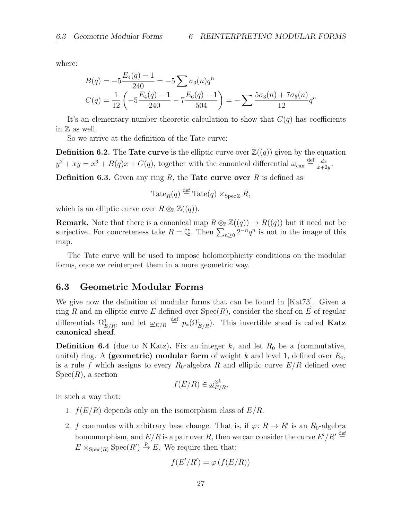where:

$$
B(q) = -5\frac{E_4(q) - 1}{240} = -5\sum \sigma_3(n)q^n
$$
  

$$
C(q) = \frac{1}{12}\left(-5\frac{E_4(q) - 1}{240} - 7\frac{E_6(q) - 1}{504}\right) = -\sum \frac{5\sigma_3(n) + 7\sigma_5(n)}{12}q^n
$$

It's an elementary number theoretic calculation to show that  $C(q)$  has coefficients in  $\mathbb Z$  as well.

So we arrive at the definition of the Tate curve:

**Definition 6.2.** The **Tate curve** is the elliptic curve over  $\mathbb{Z}((q))$  given by the equation  $y^2 + xy = x^3 + B(q)x + C(q)$ , together with the canonical differential  $\omega_{\text{can}} \stackrel{\text{def}}{=} \frac{dx}{x+2}$  $\frac{dx}{x+2y}$ .

**Definition 6.3.** Given any ring  $R$ , the **Tate curve over**  $R$  is defined as

$$
\operatorname{Tate}_R(q) \stackrel{\text{def}}{=} \operatorname{Tate}(q) \times_{\operatorname{Spec} \mathbb{Z}} R,
$$

which is an elliptic curve over  $R \otimes_{\mathbb{Z}} \mathbb{Z}((q)).$ 

**Remark.** Note that there is a canonical map  $R \otimes_{\mathbb{Z}} \mathbb{Z}((q)) \to R((q))$  but it need not be surjective. For concreteness take  $R = \mathbb{Q}$ . Then  $\sum_{n\geq 0} 2^{-n} q^n$  is not in the image of this map.

The Tate curve will be used to impose holomorphicity conditions on the modular forms, once we reinterpret them in a more geometric way.

#### 6.3 Geometric Modular Forms

We give now the definition of modular forms that can be found in [Kat73]. Given a ring R and an elliptic curve E defined over  $Spec(R)$ , consider the sheaf on E of regular differentials  $\Omega_{E/R}^1$ , and let  $\omega_{E/R} \stackrel{\text{def}}{=} p_*(\Omega_{E/R}^1)$ . This invertible sheaf is called **Katz** canonical sheaf.

**Definition 6.4** (due to N.Katz). Fix an integer k, and let  $R_0$  be a (commutative, unital) ring. A (geometric) modular form of weight k and level 1, defined over  $R_0$ , is a rule f which assigns to every  $R_0$ -algebra R and elliptic curve  $E/R$  defined over  $Spec(R)$ , a section

$$
f(E/R) \in \underline{\omega}_{E/R}^{\otimes k},
$$

in such a way that:

- 1.  $f(E/R)$  depends only on the isomorphism class of  $E/R$ .
- 2. f commutes with arbitrary base change. That is, if  $\varphi: R \to R'$  is an  $R_0$ -algebra homomorphism, and  $E/R$  is a pair over R, then we can consider the curve  $E'/R' \stackrel{\text{def}}{=}$  $E \times_{\text{Spec}(R)} \text{Spec}(R') \stackrel{p}{\to} E$ . We require then that:

$$
f(E'/R') = \varphi\left(f(E/R)\right)
$$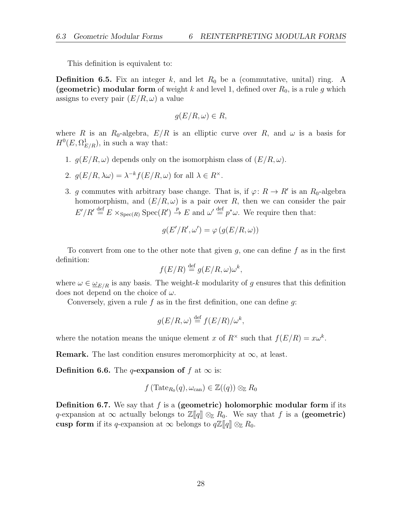This definition is equivalent to:

**Definition 6.5.** Fix an integer k, and let  $R_0$  be a (commutative, unital) ring. A (geometric) modular form of weight k and level 1, defined over  $R_0$ , is a rule g which assigns to every pair  $(E/R, \omega)$  a value

$$
g(E/R, \omega) \in R,
$$

where R is an  $R_0$ -algebra,  $E/R$  is an elliptic curve over R, and  $\omega$  is a basis for  $H^0(E, \Omega^1_{E/R})$ , in such a way that:

- 1.  $g(E/R, \omega)$  depends only on the isomorphism class of  $(E/R, \omega)$ .
- 2.  $g(E/R, \lambda \omega) = \lambda^{-k} f(E/R, \omega)$  for all  $\lambda \in R^{\times}$ .
- 3. g commutes with arbitrary base change. That is, if  $\varphi: R \to R'$  is an  $R_0$ -algebra homomorphism, and  $(E/R, \omega)$  is a pair over R, then we can consider the pair  $E'/R' \stackrel{\text{def}}{=} E \times_{\text{Spec}(R)} \text{Spec}(R') \stackrel{p}{\to} E$  and  $\omega' \stackrel{\text{def}}{=} p^*\omega$ . We require then that:

$$
g(E'/R',\omega') = \varphi(g(E/R,\omega))
$$

To convert from one to the other note that given  $g$ , one can define  $f$  as in the first definition:

$$
f(E/R) \stackrel{\text{def}}{=} g(E/R, \omega)\omega^k,
$$

where  $\omega \in \underline{\omega}_{E/R}$  is any basis. The weight-k modularity of g ensures that this definition does not depend on the choice of  $\omega$ .

Conversely, given a rule  $f$  as in the first definition, one can define  $g$ :

$$
g(E/R,\omega) \stackrel{\text{def}}{=} f(E/R)/\omega^k,
$$

where the notation means the unique element x of  $R^{\times}$  such that  $f(E/R) = x\omega^{k}$ .

**Remark.** The last condition ensures meromorphicity at  $\infty$ , at least.

**Definition 6.6.** The q-expansion of f at  $\infty$  is:

$$
f(\text{Tate}_{R_0}(q), \omega_{\text{can}}) \in \mathbb{Z}((q)) \otimes_{\mathbb{Z}} R_0
$$

**Definition 6.7.** We say that f is a (geometric) holomorphic modular form if its q-expansion at  $\infty$  actually belongs to  $\mathbb{Z}[q] \otimes_{\mathbb{Z}} R_0$ . We say that f is a (geometric) cusp form if its q-expansion at  $\infty$  belongs to  $q\mathbb{Z}\llbracket q \rrbracket \otimes_{\mathbb{Z}} R_0$ .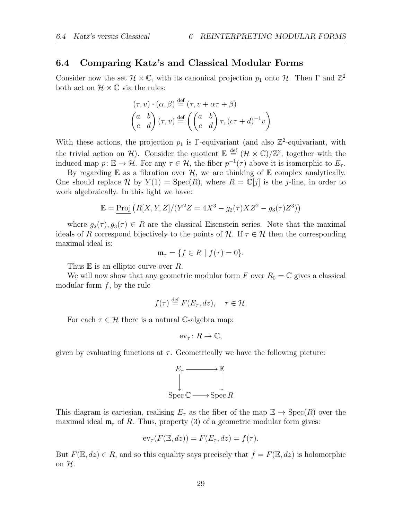### 6.4 Comparing Katz's and Classical Modular Forms

Consider now the set  $\mathcal{H} \times \mathbb{C}$ , with its canonical projection  $p_1$  onto  $\mathcal{H}$ . Then  $\Gamma$  and  $\mathbb{Z}^2$ both act on  $\mathcal{H} \times \mathbb{C}$  via the rules:

$$
(\tau, v) \cdot (\alpha, \beta) \stackrel{\text{def}}{=} (\tau, v + \alpha \tau + \beta)
$$

$$
\begin{pmatrix} a & b \\ c & d \end{pmatrix} (\tau, v) \stackrel{\text{def}}{=} \left( \begin{pmatrix} a & b \\ c & d \end{pmatrix} \tau, (c\tau + d)^{-1} v \right)
$$

With these actions, the projection  $p_1$  is Γ-equivariant (and also  $\mathbb{Z}^2$ -equivariant, with the trivial action on H). Consider the quotient  $\mathbb{E} \stackrel{\text{def}}{=} (\mathcal{H} \times \mathbb{C})/\mathbb{Z}^2$ , together with the induced map  $p: \mathbb{E} \to \mathcal{H}$ . For any  $\tau \in \mathcal{H}$ , the fiber  $p^{-1}(\tau)$  above it is isomorphic to  $E_{\tau}$ .

By regarding  $E$  as a fibration over  $H$ , we are thinking of  $E$  complex analytically. One should replace H by  $Y(1) = \text{Spec}(R)$ , where  $R = \mathbb{C}[j]$  is the j-line, in order to work algebraically. In this light we have:

$$
\mathbb{E} = \underline{\text{Proj}} (R[X, Y, Z]/(Y^2 Z = 4X^3 - g_2(\tau)XZ^2 - g_3(\tau)Z^3))
$$

where  $g_2(\tau), g_3(\tau) \in R$  are the classical Eisenstein series. Note that the maximal ideals of R correspond bijectively to the points of H. If  $\tau \in \mathcal{H}$  then the corresponding maximal ideal is:

$$
\mathfrak{m}_{\tau} = \{ f \in R \mid f(\tau) = 0 \}.
$$

Thus  $E$  is an elliptic curve over R.

We will now show that any geometric modular form F over  $R_0 = \mathbb{C}$  gives a classical modular form  $f$ , by the rule

$$
f(\tau) \stackrel{\text{def}}{=} F(E_{\tau}, dz), \quad \tau \in \mathcal{H}.
$$

For each  $\tau \in \mathcal{H}$  there is a natural C-algebra map:

$$
\mathrm{ev}_\tau\colon R\to\mathbb{C},
$$

given by evaluating functions at  $\tau$ . Geometrically we have the following picture:

$$
E_{\tau} \longrightarrow \mathbb{E}
$$
  
\n
$$
\downarrow \qquad \qquad \downarrow
$$
  
\n
$$
\text{Spec } \mathbb{C} \longrightarrow \text{Spec } R
$$

This diagram is cartesian, realising  $E_{\tau}$  as the fiber of the map  $\mathbb{E} \to \text{Spec}(R)$  over the maximal ideal  $\mathfrak{m}_{\tau}$  of R. Thus, property (3) of a geometric modular form gives:

$$
\mathrm{ev}_{\tau}(F(\mathbb{E},dz)) = F(E_{\tau},dz) = f(\tau).
$$

But  $F(\mathbb{E}, dz) \in R$ , and so this equality says precisely that  $f = F(\mathbb{E}, dz)$  is holomorphic on  $\mathcal{H}$ .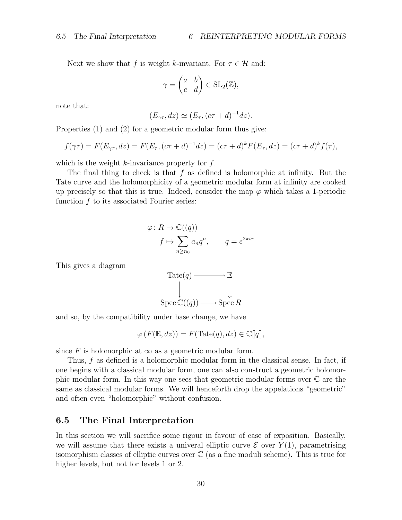Next we show that f is weight k-invariant. For  $\tau \in \mathcal{H}$  and:

$$
\gamma = \begin{pmatrix} a & b \\ c & d \end{pmatrix} \in SL_2(\mathbb{Z}),
$$

note that:

$$
(E_{\gamma\tau}, dz) \simeq (E_{\tau}, (c\tau + d)^{-1} dz).
$$

Properties (1) and (2) for a geometric modular form thus give:

$$
f(\gamma \tau) = F(E_{\gamma \tau}, dz) = F(E_{\tau}, (c\tau + d)^{-1} dz) = (c\tau + d)^k F(E_{\tau}, dz) = (c\tau + d)^k f(\tau),
$$

which is the weight  $k$ -invariance property for  $f$ .

The final thing to check is that  $f$  as defined is holomorphic at infinity. But the Tate curve and the holomorphicity of a geometric modular form at infinity are cooked up precisely so that this is true. Indeed, consider the map  $\varphi$  which takes a 1-periodic function f to its associated Fourier series:

$$
\varphi: R \to \mathbb{C}((q))
$$
  

$$
f \mapsto \sum_{n \ge n_0} a_n q^n, \qquad q = e^{2\pi i \tau}
$$

This gives a diagram



and so, by the compatibility under base change, we have

 $\varphi(F(\mathbb{E}, dz)) = F(\text{Tate}(q), dz) \in \mathbb{C}[[q]],$ 

since F is holomorphic at  $\infty$  as a geometric modular form.

Thus, f as defined is a holomorphic modular form in the classical sense. In fact, if one begins with a classical modular form, one can also construct a geometric holomorphic modular form. In this way one sees that geometric modular forms over C are the same as classical modular forms. We will henceforth drop the appelations "geometric" and often even "holomorphic" without confusion.

### 6.5 The Final Interpretation

In this section we will sacrifice some rigour in favour of ease of exposition. Basically, we will assume that there exists a univeral elliptic curve  $\mathcal E$  over  $Y(1)$ , parametrising isomorphism classes of elliptic curves over  $\mathbb C$  (as a fine moduli scheme). This is true for higher levels, but not for levels 1 or 2.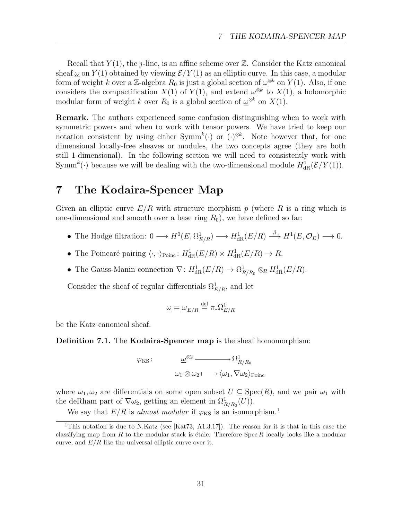Recall that  $Y(1)$ , the *j*-line, is an affine scheme over  $\mathbb{Z}$ . Consider the Katz canonical sheaf  $\omega$  on  $Y(1)$  obtained by viewing  $\mathcal{E}/Y(1)$  as an elliptic curve. In this case, a modular form of weight k over a Z-algebra  $R_0$  is just a global section of  $\underline{\omega}^{\otimes k}$  on  $Y(1)$ . Also, if one considers the compactification  $X(1)$  of  $Y(1)$ , and extend  $\omega^{\otimes k}$  to  $X(1)$ , a holomorphic modular form of weight k over  $R_0$  is a global section of  $\underline{\omega}^{\otimes k}$  on  $X(1)$ .

Remark. The authors experienced some confusion distinguishing when to work with symmetric powers and when to work with tensor powers. We have tried to keep our notation consistent by using either  $\text{Symm}^k(.)$  or  $(\cdot)^{\otimes k}$ . Note however that, for one dimensional locally-free sheaves or modules, the two concepts agree (they are both still 1-dimensional). In the following section we will need to consistently work with Symm<sup>k</sup>(.) because we will be dealing with the two-dimensional module  $H^1_{\text{dR}}(\mathcal{E}/Y(1))$ .

# 7 The Kodaira-Spencer Map

Given an elliptic curve  $E/R$  with structure morphism p (where R is a ring which is one-dimensional and smooth over a base ring  $R_0$ ), we have defined so far:

- The Hodge filtration:  $0 \longrightarrow H^0(E, \Omega^1_{E/R}) \longrightarrow H^1_{dR}(E/R) \stackrel{\beta}{\longrightarrow} H^1(E, \mathcal{O}_E) \longrightarrow 0.$
- The Poincaré pairing  $\langle \cdot, \cdot \rangle_{\text{Poinc}}$ :  $H^1_{\text{dR}}(E/R) \times H^1_{\text{dR}}(E/R) \to R$ .
- The Gauss-Manin connection  $\nabla: H^1_{\text{dR}}(E/R) \to \Omega^1_{R/R_0} \otimes_R H^1_{\text{dR}}(E/R)$ .

Consider the sheaf of regular differentials  $\Omega_{E/R}^1$ , and let

$$
\underline{\omega}=\underline{\omega}_{E/R}\stackrel{\text{def}}{=}\pi_*\Omega^1_{E/R}
$$

be the Katz canonical sheaf.

Definition 7.1. The Kodaira-Spencer map is the sheaf homomorphism:

$$
\varphi_{KS}
$$
:  $\underline{\omega}^{\otimes 2}$   $\longrightarrow \Omega^1_{R/R_0}$   
 $\omega_1 \otimes \omega_2 \longmapsto \langle \omega_1, \nabla \omega_2 \rangle_{\text{Poinc}}$ 

where  $\omega_1, \omega_2$  are differentials on some open subset  $U \subseteq \text{Spec}(R)$ , and we pair  $\omega_1$  with the deRham part of  $\nabla \omega_2$ , getting an element in  $\Omega^1_{R/R_0}(U)$ .

We say that  $E/R$  is almost modular if  $\varphi_{\rm KS}$  is an isomorphism.<sup>1</sup>

<sup>&</sup>lt;sup>1</sup>This notation is due to N.Katz (see [Kat73, A1.3.17]). The reason for it is that in this case the classifying map from R to the modular stack is étale. Therefore Spec R locally looks like a modular curve, and  $E/R$  like the universal elliptic curve over it.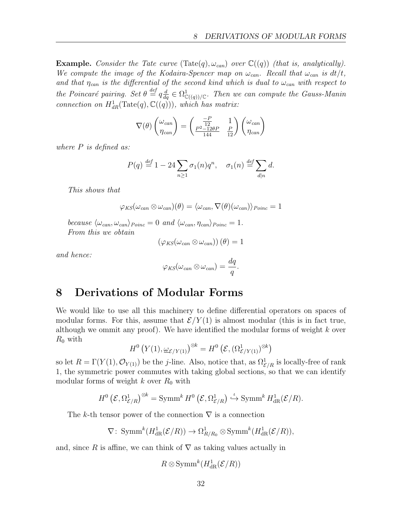**Example.** Consider the Tate curve  $(\text{Tate}(q), \omega_{can})$  over  $\mathbb{C}((q))$  (that is, analytically). We compute the image of the Kodaira-Spencer map on  $\omega_{can}$ . Recall that  $\omega_{can}$  is  $dt/t$ , and that  $\eta_{can}$  is the differential of the second kind which is dual to  $\omega_{can}$  with respect to the Poincaré pairing. Set  $\theta \stackrel{def}{=} q \frac{d}{dq} \in \Omega^1_{\mathbb{C}((q))/\mathbb{C}}$ . Then we can compute the Gauss-Manin connection on  $H^1_{dR}(\text{Tate}(q), \mathbb{C}((q)))$ , which has matrix:

$$
\nabla(\theta) \begin{pmatrix} \omega_{can} \\ \eta_{can} \end{pmatrix} = \begin{pmatrix} \frac{-P}{12} & 1 \\ \frac{P^2 - 12\theta P}{144} & \frac{P}{12} \end{pmatrix} \begin{pmatrix} \omega_{can} \\ \eta_{can} \end{pmatrix}
$$

where P is defined as:

$$
P(q) \stackrel{\text{def}}{=} 1 - 24 \sum_{n \ge 1} \sigma_1(n) q^n, \quad \sigma_1(n) \stackrel{\text{def}}{=} \sum_{d|n} d.
$$

This shows that

 $\varphi_{KS}(\omega_{can}\otimes \omega_{can})(\theta)=\langle \omega_{can}, \nabla(\theta)(\omega_{can})\rangle_{Poinc}=1$ 

because  $\langle \omega_{can}, \omega_{can} \rangle_{Poinc} = 0$  and  $\langle \omega_{can}, \eta_{can} \rangle_{Poinc} = 1$ . From this we obtain

$$
\left(\varphi_{KS}(\omega_{can}\otimes\omega_{can})\right)(\theta)=1
$$

and hence:

$$
\varphi_{KS}(\omega_{can}\otimes\omega_{can})=\frac{dq}{q}.
$$

# 8 Derivations of Modular Forms

We would like to use all this machinery to define differential operators on spaces of modular forms. For this, assume that  $\mathcal{E}/Y(1)$  is almost modular (this is in fact true, although we ommit any proof). We have identified the modular forms of weight  $k$  over  $R_0$  with

$$
H^{0}\left(Y(1),\underline{\omega}_{\mathcal{E}/Y(1)}\right)^{\otimes k}=H^{0}\left(\mathcal{E},(\Omega_{\mathcal{E}/Y(1)}^{1})^{\otimes k}\right)
$$

so let  $R = \Gamma(Y(1), \mathcal{O}_{Y(1)})$  be the *j*-line. Also, notice that, as  $\Omega_{\mathcal{E}/R}^1$  is locally-free of rank 1, the symmetric power commutes with taking global sections, so that we can identify modular forms of weight k over  $R_0$  with

$$
H^{0}\left(\mathcal{E},\Omega_{\mathcal{E}/R}^{1}\right)^{\otimes k}=\operatorname{Symm}^{k} H^{0}\left(\mathcal{E},\Omega_{\mathcal{E}/R}^{1}\right)\overset{\iota}{\hookrightarrow} \operatorname{Symm}^{k} H^{1}_{\mathrm{dR}}(\mathcal{E}/R).
$$

The k-th tensor power of the connection  $\nabla$  is a connection

$$
\nabla\colon \operatorname{Symm}^k(H^1_{\operatorname{dR}}(\mathcal{E}/R))\to \Omega^1_{R/R_0}\otimes \operatorname{Symm}^k(H^1_{\operatorname{dR}}(\mathcal{E}/R)),
$$

and, since R is affine, we can think of  $\nabla$  as taking values actually in

 $R \otimes \text{Symm}^k(H^1_{\text{dR}}(\mathcal{E}/R))$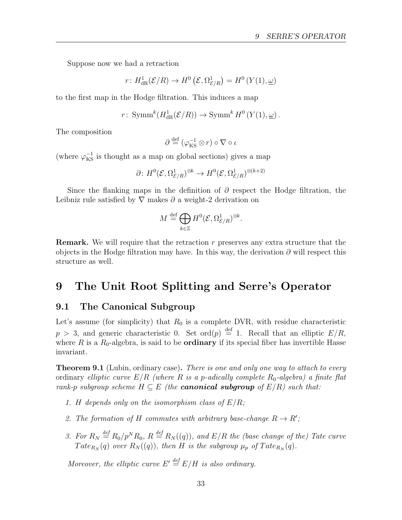Suppose now we had a retraction

$$
r\colon H^1_{\text{dR}}(\mathcal{E}/R)\to H^0\left(\mathcal{E},\Omega^1_{\mathcal{E}/R}\right)=H^0\left(Y(1),\underline{\omega}\right)
$$

to the first map in the Hodge filtration. This induces a map

$$
r\colon \operatorname{Symm}^k(H^1_{\operatorname{dR}}(\mathcal{E}/R))\to \operatorname{Symm}^k H^0(Y(1),\underline{\omega})\,.
$$

The composition

$$
\partial \stackrel{\text{def}}{=} (\varphi_{\text{KS}}^{-1} \otimes r) \circ \nabla \circ \iota
$$

(where  $\varphi_{\rm KS}^{-1}$  is thought as a map on global sections) gives a map

$$
\partial\colon H^0(\mathcal{E},\Omega_{\mathcal{E}/R}^1)^{\otimes k}\to H^0(\mathcal{E},\Omega_{\mathcal{E}/R}^1)^{\otimes (k+2)}
$$

Since the flanking maps in the definition of  $\partial$  respect the Hodge filtration, the Leibniz rule satisfied by  $\nabla$  makes  $\partial$  a weight-2 derivation on

$$
M \stackrel{\text{def}}{=} \bigoplus_{k \in \mathbb{Z}} H^0(\mathcal{E}, \Omega^1_{\mathcal{E}/R})^{\otimes k}.
$$

**Remark.** We will require that the retraction  $r$  preserves any extra structure that the objects in the Hodge filtration may have. In this way, the derivation  $\partial$  will respect this structure as well.

# 9 The Unit Root Splitting and Serre's Operator

### 9.1 The Canonical Subgroup

Let's assume (for simplicity) that  $R_0$  is a complete DVR, with residue characteristic  $p > 3$ , and generic characteristic 0. Set ord $(p) \stackrel{\text{def}}{=} 1$ . Recall that an elliptic  $E/R$ , where R is a  $R_0$ -algebra, is said to be **ordinary** if its special fiber has invertible Hasse invariant.

**Theorem 9.1** (Lubin, ordinary case). There is one and only one way to attach to every ordinary elliptic curve  $E/R$  (where R is a p-adically complete  $R_0$ -algebra) a finite flat rank-p subgroup scheme  $H \subseteq E$  (the **canonical subgroup** of  $E/R$ ) such that:

- 1. H depends only on the isomorphism class of  $E/R$ ;
- 2. The formation of H commutes with arbitrary base-change  $R \to R'$ ;
- 3. For  $R_N \stackrel{\text{def}}{=} R_0/p^N R_0$ ,  $R \stackrel{\text{def}}{=} R_N((q))$ , and  $E/R$  the (base change of the) Tate curve  $Tate_{R_N}(q)$  over  $R_N((q))$ , then H is the subgroup  $\mu_p$  of  $Tate_{R_N}(q)$ .

Moreover, the elliptic curve  $E' \stackrel{\text{def}}{=} E/H$  is also ordinary.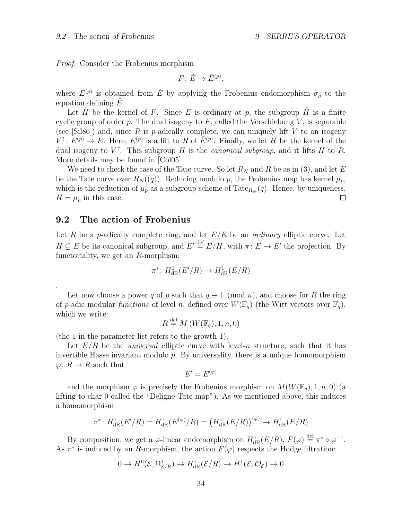Proof. Consider the Frobenius morphism

$$
F\colon \tilde E\to \tilde E^{(p)},
$$

where  $\tilde{E}^{(p)}$  is obtained from  $\tilde{E}$  by applying the Frobenius endomorphism  $\sigma_p$  to the equation defining  $E$ .

Let H be the kernel of F. Since E is ordinary at p, the subgroup H is a finite cyclic group of order  $p$ . The dual isogeny to  $F$ , called the Verschiebung  $V$ , is separable (see [Sil86]) and, since R is p-adically complete, we can uniquely lift V to an isogeny  $V^{\uparrow}$ :  $E^{(p)} \to E$ . Here,  $E^{(p)}$  is a lift to R of  $\tilde{E}^{(p)}$ . Finally, we let H be the kernel of the dual isogeny to  $V^{\uparrow}$ . This subgroup H is the *canonical subgroup*, and it lifts  $\tilde{H}$  to R. More details may be found in [Col05].

We need to check the case of the Tate curve. So let  $R_N$  and R be as in (3), and let E be the Tate curve over  $R_N(q)$ . Reducing modulo p, the Frobenius map has kernel  $\mu_p$ , which is the reduction of  $\mu_p$  as a subgroup scheme of Tate $_{R_N}(q)$ . Hence, by uniqueness,  $H = \mu_p$  in this case. □

## 9.2 The action of Frobenius

.

Let R be a p-adically complete ring, and let  $E/R$  be an *ordinary* elliptic curve. Let  $H \subseteq E$  be its canonical subgroup, and  $E' \stackrel{\text{def}}{=} E/H$ , with  $\pi: E \to E'$  the projection. By functoriality, we get an  $R$ -morphism:

$$
\pi^*: H^1_{\rm dR}(E'/R) \to H^1_{\rm dR}(E/R)
$$

Let now choose a power q of p such that  $q \equiv 1 \pmod{n}$ , and choose for R the ring of p-adic modular functions of level n, defined over  $W(\mathbb{F}_q)$  (the Witt vectors over  $\mathbb{F}_q$ ), which we write:

$$
R \stackrel{\text{def}}{=} M(W(\mathbb{F}_q), 1, n, 0)
$$

(the 1 in the parameter list refers to the growth 1).

Let  $E/R$  be the *universal* elliptic curve with level-n structure, such that it has invertible Hasse invariant modulo  $p$ . By universality, there is a unique homomorphism  $\varphi: R \to R$  such that

$$
E'=E^{(\varphi)}
$$

and the morphism  $\varphi$  is precisely the Frobenius morphism on  $M(W(\mathbb{F}_q), 1, n, 0)$  (a lifting to char 0 called the "Deligne-Tate map"). As we mentioned above, this induces a homomorphism

$$
\pi^* \colon H^1_{\text{dR}}(E'/R) = H^1_{\text{dR}}(E^{(\varphi)}/R) = (H^1_{\text{dR}}(E/R))^{(\varphi)} \to H^1_{\text{dR}}(E/R)
$$

By composition, we get a  $\varphi$ -linear endomorphism on  $H^1_{\text{dR}}(E/R)$ ,  $F(\varphi) \stackrel{\text{def}}{=} \pi^* \circ \varphi^{-1}$ . As  $\pi^*$  is induced by an R-morphism, the action  $F(\varphi)$  respects the Hodge filtration:

$$
0 \to H^0(\mathcal{E}, \Omega^1_{\mathcal{E}/R}) \to H^1_{\text{dR}}(\mathcal{E}/R) \to H^1(\mathcal{E}, \mathcal{O}_{\mathcal{E}}) \to 0
$$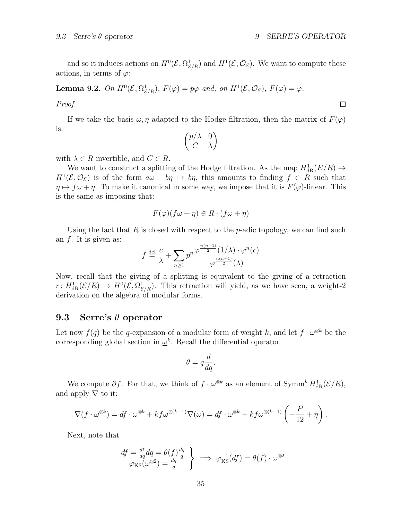and so it induces actions on  $H^0(\mathcal{E}, \Omega^1_{\mathcal{E}/R})$  and  $H^1(\mathcal{E}, \mathcal{O}_\mathcal{E})$ . We want to compute these actions, in terms of  $\varphi$ :

**Lemma 9.2.** On  $H^0(\mathcal{E}, \Omega^1_{\mathcal{E}/R})$ ,  $F(\varphi) = p\varphi$  and, on  $H^1(\mathcal{E}, \mathcal{O}_{\mathcal{E}})$ ,  $F(\varphi) = \varphi$ .

Proof.

If we take the basis  $\omega, \eta$  adapted to the Hodge filtration, then the matrix of  $F(\varphi)$ is:

$$
\begin{pmatrix} p/\lambda & 0 \\ C & \lambda \end{pmatrix}
$$

with  $\lambda \in R$  invertible, and  $C \in R$ .

We want to construct a splitting of the Hodge filtration. As the map  $H^1_{\text{dR}}(E/R) \to$  $H^1(\mathcal{E}, \mathcal{O}_{\mathcal{E}})$  is of the form  $a\omega + b\eta \mapsto b\eta$ , this amounts to finding  $f \in R$  such that  $\eta \mapsto f \omega + \eta$ . To make it canonical in some way, we impose that it is  $F(\varphi)$ -linear. This is the same as imposing that:

$$
F(\varphi)(f\omega + \eta) \in R \cdot (f\omega + \eta)
$$

Using the fact that R is closed with respect to the p-adic topology, we can find such an f. It is given as:

$$
f \stackrel{\text{def}}{=} \frac{c}{\lambda} + \sum_{n \ge 1} p^n \frac{\varphi^{\frac{n(n-1)}{2}}(1/\lambda) \cdot \varphi^n(c)}{\varphi^{\frac{n(n+1)}{2}}(\lambda)}
$$

Now, recall that the giving of a splitting is equivalent to the giving of a retraction  $r: H^1_{\text{dR}}(\mathcal{E}/R) \to H^0(\mathcal{E}, \Omega^1_{\mathcal{E}/R})$ . This retraction will yield, as we have seen, a weight-2 derivation on the algebra of modular forms.

## 9.3 Serre's  $\theta$  operator

Let now  $f(q)$  be the q-expansion of a modular form of weight k, and let  $f \cdot \omega^{\otimes k}$  be the corresponding global section in  $\underline{\omega}^k$ . Recall the differential operator

$$
\theta = q \frac{d}{dq}.
$$

We compute  $\partial f$ . For that, we think of  $f \cdot \omega^{\otimes k}$  as an element of Symm<sup>k</sup>  $H^1_{\text{dR}}(\mathcal{E}/R)$ , and apply  $\nabla$  to it:

$$
\nabla (f \cdot \omega^{\otimes k}) = df \cdot \omega^{\otimes k} + kf \omega^{\otimes (k-1)} \nabla (\omega) = df \cdot \omega^{\otimes k} + kf \omega^{\otimes (k-1)} \left( -\frac{P}{12} + \eta \right).
$$

Next, note that

$$
\begin{array}{c}\ndf = \frac{df}{dq} dq = \theta(f) \frac{dq}{q} \\
\varphi_{\rm KS}(\omega^{\otimes 2}) = \frac{dq}{q}\n\end{array}\n\right\} \implies \varphi_{\rm KS}^{-1}(df) = \theta(f) \cdot \omega^{\otimes 2}
$$

 $\Box$